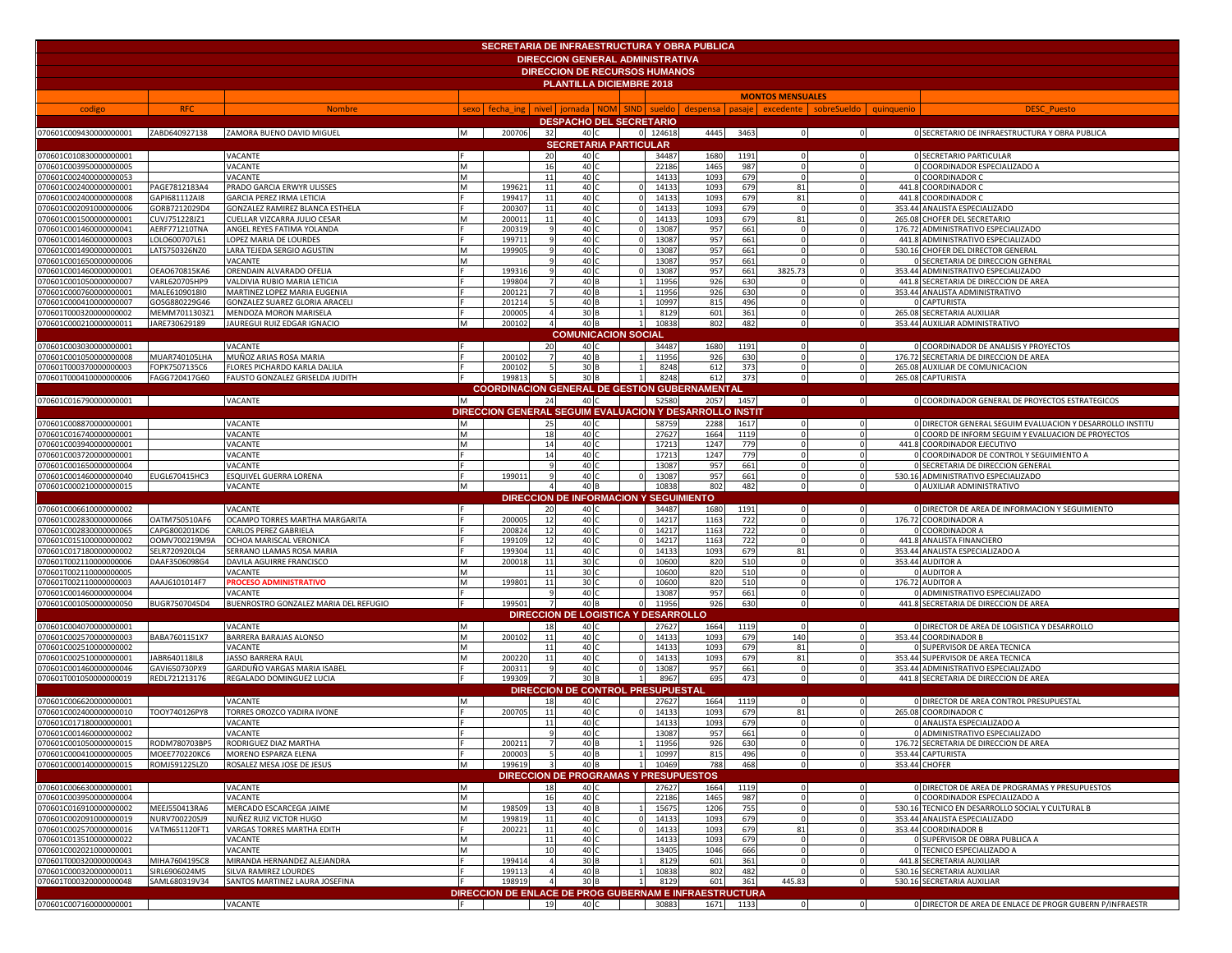|                                                  |                                |                                                                |          |                  |                | <b>SECRETARIA DE INFRAESTRUCTURA Y OBRA PUBLICA</b>     |          |                |              |             |                                              |                                                                                                  |
|--------------------------------------------------|--------------------------------|----------------------------------------------------------------|----------|------------------|----------------|---------------------------------------------------------|----------|----------------|--------------|-------------|----------------------------------------------|--------------------------------------------------------------------------------------------------|
|                                                  |                                |                                                                |          |                  |                | <b>DIRECCION GENERAL ADMINISTRATIVA</b>                 |          |                |              |             |                                              |                                                                                                  |
|                                                  |                                |                                                                |          |                  |                | <b>DIRECCION DE RECURSOS HUMANOS</b>                    |          |                |              |             |                                              |                                                                                                  |
|                                                  |                                |                                                                |          |                  |                | PLANTILLA DICIEMBRE 2018                                |          |                |              |             |                                              |                                                                                                  |
|                                                  |                                |                                                                |          |                  |                |                                                         |          |                |              |             | <b>MONTOS MENSUALES</b>                      |                                                                                                  |
| codigo                                           | <b>RFC</b>                     | <b>Nombre</b>                                                  |          |                  |                | sexo fecha ing nivel jornada NOM SIND                   |          |                |              |             | sueldo despensa pasaje excedente sobreSueldo | quinquenio<br><b>DESC Puesto</b>                                                                 |
|                                                  |                                |                                                                |          |                  |                | <b>DESPACHO DEL SECRETARIO</b>                          |          |                |              |             |                                              |                                                                                                  |
|                                                  |                                | 070601C009430000000001 ZABD640927138 ZAMORA BUENO DAVID MIGUEL | <b>M</b> | 200706           | 32             | 40 C                                                    |          | 0 124618       |              | 4445 3463   | $\overline{\mathbf{0}}$                      | O SECRETARIO DE INFRAESTRUCTURA Y OBRA PUBLICA<br>$\mathbf 0$                                    |
|                                                  |                                |                                                                |          |                  |                | <b>SECRETARIA PARTICULAR</b>                            |          |                |              |             |                                              |                                                                                                  |
| 070601C010830000000001                           |                                | VACANTE                                                        |          |                  | 20             | 40 C                                                    |          | 34487          | 1680         | 1191        | $\Omega$                                     | <b>0 SECRETARIO PARTICULAR</b>                                                                   |
| 070601C003950000000005                           |                                | VACANTE                                                        | M        |                  | 16             | 40                                                      |          | 2218           | 1465         | 987         |                                              | 0 COORDINADOR ESPECIALIZADO A                                                                    |
| 070601C002400000000053                           |                                | VACANTE                                                        | M        |                  | 11             | 40                                                      |          | 14133          | 1093         | 679         | $\Omega$                                     | $\circ$<br>0 COORDINADOR C                                                                       |
| 070601C002400000000001                           | PAGE7812183A4                  | PRADO GARCIA ERWYR ULISSES                                     | M        | 19962:           | 11             | 40 <sub>1</sub>                                         |          | 14133          | 1093         | 679         | 81                                           | 441.8 COORDINADOR C<br>$\mathbf 0$                                                               |
| 070601C002400000000008                           | GAPI681112AI8                  | <b>GARCIA PEREZ IRMA LETICIA</b>                               |          | 199417           | 11             | 40                                                      |          | 14133          | 1093         | 679         | 81                                           | 441.8 COORDINADOR C<br>$\Omega$                                                                  |
| 070601C002091000000006                           | GORB7212029D4                  | GONZALEZ RAMIREZ BLANCA ESTHELA                                |          | 200307           | 11             | 40                                                      |          | 14133          | 1093         | 679         | $\Omega$                                     | 353.44 ANALISTA ESPECIALIZADO<br>$\Omega$                                                        |
| 070601C001500000000001                           | CUVJ751228JZ1                  | CUELLAR VIZCARRA JULIO CESAR                                   |          | 20001            | 11             | 40 <sub>1</sub>                                         |          | 14133          | 1093         | 679         | 81                                           | $\mathbf 0$<br>265.08 CHOFER DEL SECRETARIO                                                      |
| 070601C001460000000041                           | AERF771210TNA                  | ANGEL REYES FATIMA YOLANDA                                     |          | 200319           |                | 40                                                      |          | 13087          | 957          | 661         |                                              | 176.72 ADMINISTRATIVO ESPECIALIZADO<br>$\mathbf 0$                                               |
| 070601C001460000000003<br>070601C001490000000001 | LOLO600707L61<br>LATS750326NZ0 | LOPEZ MARIA DE LOURDES<br>LARA TEJEDA SERGIO AGUSTIN           | M        | 199711           |                | 40<br>40                                                |          | 13087<br>13087 | 957          | 661         |                                              | 441.8 ADMINISTRATIVO ESPECIALIZADO<br>530.16 CHOFER DEL DIRECTOR GENERAL                         |
| 070601C001650000000006                           |                                | VACANTE                                                        | M        | 199905           |                | 40 <sub>1</sub>                                         |          | 13087          | 957<br>957   | 661<br>661  |                                              | $\mathbf 0$<br>O SECRETARIA DE DIRECCION GENERAL                                                 |
| 070601C001460000000001                           | OEAO670815KA6                  | ORENDAIN ALVARADO OFELIA                                       |          | 199316           |                | 40                                                      |          | 13087          | 957          | 661         | 3825.73                                      | 353.44 ADMINISTRATIVO ESPECIALIZADO<br>$\mathbf 0$                                               |
| 070601C001050000000007                           | VARL620705HP9                  | VALDIVIA RUBIO MARIA LETICIA                                   |          | 199804           |                | 40                                                      |          | 11956          | 926          | 630         |                                              | 441.8 SECRETARIA DE DIRECCION DE AREA<br>$\Omega$                                                |
| 070601C000760000000001                           | MALE6109018I0                  | MARTINEZ LOPEZ MARIA EUGENIA                                   |          | 20012:           |                | 40                                                      |          | 11956          | 926          | 630         |                                              | 353.44 ANALISTA ADMINISTRATIVO<br>$\Omega$                                                       |
| 070601C000410000000007                           | GOSG880229G46                  | GONZALEZ SUAREZ GLORIA ARACELI                                 |          | 201214           |                | 40                                                      |          | 10997          | 815          | 496         |                                              | 0 CAPTURISTA                                                                                     |
| 070601T000320000000002                           | MEMM7011303Z1                  | MENDOZA MORON MARISELA                                         |          | 200005           |                | 30 <sub>1</sub>                                         |          | 8129           | 601          | 361         | $\Omega$                                     | $\mathbf 0$<br>265.08 SECRETARIA AUXILIAR                                                        |
| 070601C000210000000011                           | JARE730629189                  | JAUREGUI RUIZ EDGAR IGNACIO                                    | M        | 200102           |                | 40 B                                                    |          | 10838          | 802          | 482         |                                              | $\circ$<br>353.44 AUXILIAR ADMINISTRATIVO                                                        |
|                                                  |                                |                                                                |          |                  |                | <b>COMUNICACION SOCIAL</b>                              |          |                |              |             |                                              |                                                                                                  |
| 070601C003030000000001                           |                                | VACANTE                                                        |          |                  | -20            | 40                                                      |          | 34487          | 1680         | 1191        | $\Omega$                                     | 0 COORDINADOR DE ANALISIS Y PROYECTOS<br>$\Omega$                                                |
| 070601C001050000000008                           | MUAR740105LHA                  | MUÑOZ ARIAS ROSA MARIA                                         |          | 200102           |                | 40                                                      |          | 11956          | 926          | 630         | $\Omega$                                     | 176.72 SECRETARIA DE DIRECCION DE AREA<br>$\Omega$                                               |
| 070601T000370000000003                           | FOPK7507135C6                  | FLORES PICHARDO KARLA DALILA                                   |          | 200102           |                | 30 <sub>1</sub>                                         |          | 8248           | 612          | 373         |                                              | $\Omega$<br>265.08 AUXILIAR DE COMUNICACION                                                      |
| 070601T000410000000006                           | FAGG720417G60                  | FAUSTO GONZALEZ GRISELDA JUDITH                                |          | 199813           |                | 30 B                                                    |          | 8248           | 612          | 373         |                                              | $\Omega$<br>265.08 CAPTURISTA                                                                    |
|                                                  |                                |                                                                |          |                  |                | <b>COORDINACION GENERAL DE GESTION GUBERNAMENTAL</b>    |          |                |              |             |                                              |                                                                                                  |
| 070601C016790000000001                           |                                | VACANTE                                                        |          |                  | 24             | 40 C                                                    |          | 52580          | 2057         | 1457        | $\overline{\mathbf{0}}$                      | $\circ$<br>0 COORDINADOR GENERAL DE PROYECTOS ESTRATEGICOS                                       |
|                                                  |                                |                                                                |          |                  |                | DIRECCION GENERAL SEGUIM EVALUACION Y DESARROLLO INSTIT |          |                |              |             |                                              |                                                                                                  |
| 070601C008870000000001                           |                                | VACANTE                                                        | M        |                  | 25<br>18       | 40 <sub>1</sub>                                         |          | 58759          | 2288<br>1664 | 1617        |                                              | 0 DIRECTOR GENERAL SEGUIM EVALUACION Y DESARROLLO INSTITU                                        |
| 070601C016740000000001<br>070601C003940000000001 |                                | VACANTE<br>VACANTE                                             | M<br>M   |                  | 14             | 40<br>40 0                                              |          | 27627<br>17213 | 1247         | 1119<br>779 |                                              | 0 COORD DE INFORM SEGUIM Y EVALUACION DE PROYECTOS<br>441.8 COORDINADOR EJECUTIVO<br>$\mathbf 0$ |
| 070601C003720000000001                           |                                | VACANTE                                                        |          |                  | 14             | 40 0                                                    |          | 17213          | 1247         | 779         |                                              | O COORDINADOR DE CONTROL Y SEGUIMIENTO A<br>$\Omega$                                             |
| 070601C001650000000004                           |                                | VACANTE                                                        |          |                  |                | 40 <sub>1</sub>                                         |          | 13087          | 957          | 661         |                                              | O SECRETARIA DE DIRECCION GENERAL                                                                |
| 070601C001460000000040                           | EUGL670415HC3                  | ESQUIVEL GUERRA LORENA                                         |          | 199011           |                | 40 C                                                    |          | 13087          | 957          | 661         |                                              | 530.16 ADMINISTRATIVO ESPECIALIZADO<br>$\mathbf 0$                                               |
| 070601C000210000000015                           |                                | VACANTE                                                        | lм       |                  |                | 40                                                      |          | 10838          | 802          | 482         |                                              | 0 AUXILIAR ADMINISTRATIVO<br>$\circ$                                                             |
|                                                  |                                |                                                                |          |                  |                | DIRECCION DE INFORMACION Y SEGUIMIENTO                  |          |                |              |             |                                              |                                                                                                  |
| 070601C006610000000002                           |                                | VACANTE                                                        |          |                  | 20             | 40                                                      |          | 34487          | 1680         | 1191        |                                              | 0 DIRECTOR DE AREA DE INFORMACION Y SEGUIMIENTO                                                  |
| 070601C002830000000066                           | OATM750510AF6                  | OCAMPO TORRES MARTHA MARGARITA                                 |          | 200005           | -12            | 40                                                      |          | 14217          | 1163         | 722         |                                              | 176.72 COORDINADOR A                                                                             |
| 070601C002830000000065                           | CAPG800201KD6                  | CARLOS PEREZ GABRIELA                                          |          | 200824           | -12            | 40                                                      |          | 14217          | 1163         | 722         |                                              | 0 COORDINADOR A                                                                                  |
| 070601C015100000000002                           | OOMV700219M9A                  | OCHOA MARISCAL VERONICA                                        |          | 199109           | $\overline{1}$ | 40 <sub>1</sub>                                         |          | 14217          | 1163         | 722         |                                              | 441.8 ANALISTA FINANCIERO                                                                        |
| 070601C017180000000002                           | SELR720920LQ4                  | SERRANO LLAMAS ROSA MARIA                                      |          | 199304           | $\mathbf{1}$   | 40                                                      |          | 14133          | 1093         | 679         | 81                                           | 353.44 ANALISTA ESPECIALIZADO A                                                                  |
| 070601T002110000000006                           | DAAF3506098G4                  | DAVILA AGUIRRE FRANCISCO                                       | M        | 200018           | 11             | 30 <sub>1</sub>                                         |          | 10600          | 820          | 510         |                                              | 353.44 AUDITOR A<br>$\Omega$<br>$\Omega$                                                         |
| 070601T002110000000005                           | AAAJ6101014F7                  | VACANTE<br><b>PROCESO ADMINISTRATIVO</b>                       | M<br>M   | 199801           | 11             | 30 <sub>0</sub><br>30 <sub>1</sub>                      |          | 10600<br>10600 | 820<br>820   | 510<br>510  |                                              | 0 AUDITOR A<br>$\Omega$<br>176.72 AUDITOR A                                                      |
| 070601T002110000000003<br>070601C001460000000004 |                                | VACANTE                                                        |          |                  |                | 40 <sub>1</sub>                                         |          | 13087          | 957          | 661         |                                              | 0 ADMINISTRATIVO ESPECIALIZADO<br>$\Omega$                                                       |
| 070601C001050000000050                           | BUGR7507045D4                  | BUENROSTRO GONZALEZ MARIA DEL REFUGIO                          |          | 199501           |                | 40 B                                                    | $\Omega$ | 11956          | 926          | 630         | $\Omega$                                     | 441.8 SECRETARIA DE DIRECCION DE AREA<br>$\circ$                                                 |
|                                                  |                                |                                                                |          |                  |                | DIRECCION DE LOGISTICA Y DESARROLLO                     |          |                |              |             |                                              |                                                                                                  |
| 070601C004070000000001                           |                                | VACANTE                                                        | M        |                  | 18             | 40 <sub>1</sub>                                         |          | 27627          | 1664         | 1119        | $\Omega$                                     | 0 DIRECTOR DE AREA DE LOGISTICA Y DESARROLLO<br>$\overline{0}$                                   |
| 070601C002570000000003                           | BABA7601151X7                  | BARRERA BARAJAS ALONSO                                         | M        | 200102           | $\mathbf{1}$   | 40                                                      |          | 1413           | 1093         | 679         | 140                                          | $\Omega$<br>353.44 COORDINADOR B                                                                 |
| 070601C002510000000002                           |                                | VACANTE                                                        | M        |                  | 11             | 40                                                      |          | 14133          | 1093         | 679         | 81                                           | $\Omega$<br>0 SUPERVISOR DE AREA TECNICA                                                         |
| 070601C002510000000001                           | JABR640118IL8                  | JASSO BARRERA RAUL                                             | M        | 200220           |                | 40                                                      |          | 14133          | 1093         | 679         | 81                                           | $\mathbf 0$<br>353.44 SUPERVISOR DE AREA TECNICA                                                 |
| 070601C001460000000046                           | GAVI650730PX9                  | GARDUÑO VARGAS MARIA ISABEL                                    |          | 200311           |                | 40                                                      |          | 13087          | 957          | 661         | $\Omega$                                     | 353.44 ADMINISTRATIVO ESPECIALIZADO<br>$\mathbf 0$                                               |
| 070601T001050000000019                           | REDL721213176                  | REGALADO DOMINGUEZ LUCIA                                       |          | 199309           |                | 30 B                                                    |          | 8967           | 695          | 473         | $\Omega$                                     | 441.8 SECRETARIA DE DIRECCION DE AREA<br>$\circ$                                                 |
|                                                  |                                |                                                                |          |                  |                | DIRECCION DE CONTROL PRESUPUESTAL                       |          |                |              |             |                                              |                                                                                                  |
| 070601C006620000000001                           |                                | VACANTE                                                        | M        |                  | 18             | 40 <sub>1</sub>                                         |          | 27627          | 1664         | 1119        | $\Omega$                                     | O DIRECTOR DE AREA CONTROL PRESUPUESTAL                                                          |
| 070601C002400000000010                           | TOOY740126PY8                  | TORRES OROZCO YADIRA IVONE                                     |          | 200705           | 11             | 40 <sub>1</sub>                                         |          | 1413           | 1093         | 679         | 81                                           | 265.08 COORDINADOR C<br>$\Omega$                                                                 |
| 070601C017180000000001                           |                                | VACANTE                                                        |          |                  |                | 40                                                      |          | 1413           | 1093         | 679         |                                              | 0 ANALISTA ESPECIALIZADO A                                                                       |
| 070601C001460000000002                           |                                | <b>VACANTE</b>                                                 |          |                  |                | 40 C                                                    |          | 13087          | 957          | 661         |                                              | 0 ADMINISTRATIVO ESPECIALIZADO                                                                   |
| 070601C001050000000015<br>070601C000410000000005 | RODM780703BP5<br>MOEE770220KC6 | RODRIGUEZ DIAZ MARTHA<br>MORENO ESPARZA ELENA                  |          | 200211<br>200003 |                | 40 B<br>40 B                                            |          | 11956<br>10997 | 926<br>815   | 630<br>496  | $\Omega$                                     | 176.72 SECRETARIA DE DIRECCION DE AREA<br>353.44 CAPTURISTA<br>$\Omega$                          |
| 070601C000140000000015                           | ROMJ591225LZ0                  | ROSALEZ MESA JOSE DE JESUS                                     | M        | 199619           |                | 40 B                                                    |          | 10469          | 788          | 468         |                                              | 353.44 CHOFER<br>$\mathbf 0$                                                                     |
|                                                  |                                |                                                                |          |                  |                | <b>DIRECCION DE PROGRAMAS Y PRESUPUESTOS</b>            |          |                |              |             |                                              |                                                                                                  |
| 070601C006630000000001                           |                                | VACANTE                                                        | M        |                  | 18             | 40 C                                                    |          | 27627          | 1664         | 1119        | $\Omega$                                     | O DIRECTOR DE AREA DE PROGRAMAS Y PRESUPUESTOS<br>$\Omega$                                       |
| 070601C003950000000004                           |                                | VACANTE                                                        | M        |                  | 16             | 40 C                                                    |          | 22186          | 1465         | 987         |                                              | $\circ$<br>0 COORDINADOR ESPECIALIZADO A                                                         |
| 070601C016910000000002                           | MEEJ550413RA6                  | MERCADO ESCARCEGA JAIME                                        | M        | 198509           | 13             | 40 B                                                    |          | 15675          | 1206         | 755         |                                              | 530.16 TECNICO EN DESARROLLO SOCIAL Y CULTURAL B<br>$\mathbf 0$                                  |
| 070601C002091000000019                           | NURV700220SJ9                  | NUÑEZ RUIZ VICTOR HUGO                                         | M        | 199819           | 11             | 40 C                                                    |          | 14133          | 1093         | 679         | $\Omega$                                     | $\circ$<br>353.44 ANALISTA ESPECIALIZADO                                                         |
| 070601C002570000000016                           | VATM651120FT1                  | VARGAS TORRES MARTHA EDITH                                     |          | 200221           | 11             | 40 0                                                    |          | 14133          | 1093         | 679         | 81                                           | $\Omega$<br>353.44 COORDINADOR B                                                                 |
| 070601C013510000000022                           |                                | VACANTE                                                        | M        |                  | 11             | 40 C                                                    |          | 14133          | 1093         | 679         |                                              | 0 SUPERVISOR DE OBRA PUBLICA A<br>$\mathbf 0$                                                    |
| 070601C002021000000001                           |                                | VACANTE                                                        | M        |                  | 10             | 40                                                      |          | 13405          | 1046         | 666         |                                              | 0 TECNICO ESPECIALIZADO A<br>$\mathbf 0$                                                         |
| 070601T000320000000043                           | MIHA7604195C8                  | MIRANDA HERNANDEZ ALEJANDRA                                    |          | 199414           |                | 30 B                                                    |          | 8129           | 601          | 361         |                                              | 441.8 SECRETARIA AUXILIAR<br>$\mathbf 0$                                                         |
| 070601C000320000000011                           | SIRL6906024M5                  | SILVA RAMIREZ LOURDES                                          |          | 199113           |                | 40 B                                                    |          | 10838          | 802          | 482         |                                              | 530.16 SECRETARIA AUXILIAR<br>$\Omega$                                                           |
| 070601T000320000000048                           | SAML680319V34                  | SANTOS MARTINEZ LAURA JOSEFINA                                 |          | 198919           | $\overline{4}$ | 30 B                                                    |          | 8129           | 601          | 361         | 445.83                                       | $\mathbf 0$<br>530.16 SECRETARIA AUXILIAR                                                        |
| 070601C007160000000001                           |                                |                                                                | $F =$    |                  |                | DIRECCION DE ENLACE DE PROG GUBERNAM E INFRAESTRUCTURA  |          |                |              | 1671 1133   |                                              | 0 DIRECTOR DE AREA DE ENLACE DE PROGR GUBERN P/INFRAESTR                                         |
|                                                  |                                | VACANTE                                                        |          |                  | 19             | 40 C                                                    |          | 30883          |              |             | $\overline{\mathbf{0}}$                      | $\overline{0}$                                                                                   |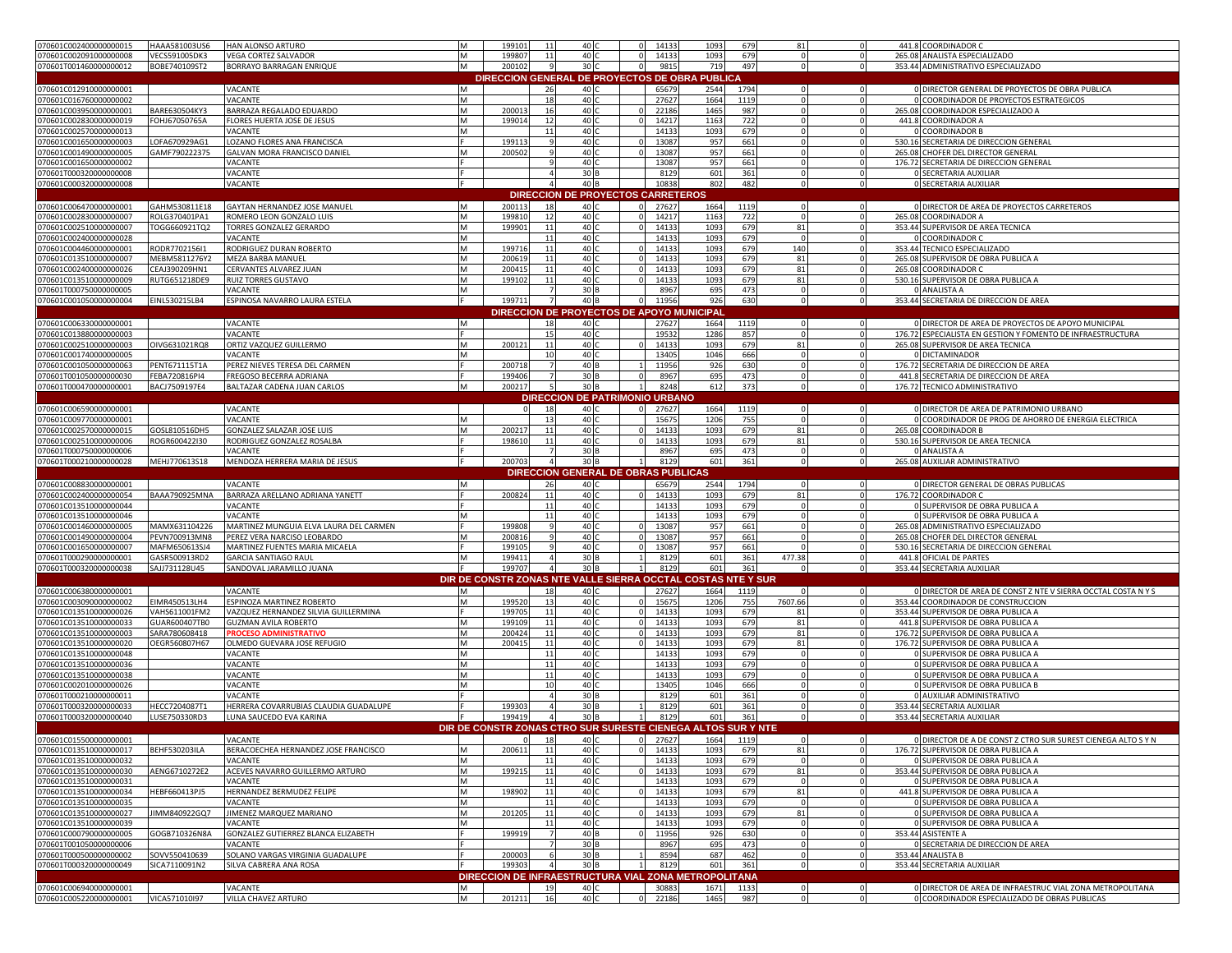| 070601C002400000000015                           | HAAA581003US6        | HAN ALONSO ARTURO                      | м | 199101 | 11              | 40              |                | 14133                                      | 1093                                                         | 679         | 81                      |              | 441.8 COORDINADOR C                                                                                        |
|--------------------------------------------------|----------------------|----------------------------------------|---|--------|-----------------|-----------------|----------------|--------------------------------------------|--------------------------------------------------------------|-------------|-------------------------|--------------|------------------------------------------------------------------------------------------------------------|
| 070601C002091000000008                           | VECS591005DK3        | <b>VEGA CORTEZ SALVADOR</b>            | м | 199807 | 11              | 40 <sub>1</sub> |                | 14133                                      | 1093                                                         | 679         | $\overline{0}$          |              | 265.08 ANALISTA ESPECIALIZADO                                                                              |
| 070601T001460000000012                           | BOBE740109ST2        | BORRAYO BARRAGAN ENRIQUE               | M | 200102 | -9              | 30 C            | $\Omega$       | 9815                                       | 719                                                          | 497         | $\circ$                 | $\circ$      | 353.44 ADMINISTRATIVO ESPECIALIZADO                                                                        |
|                                                  |                      |                                        |   |        |                 |                 |                |                                            | DIRECCION GENERAL DE PROYECTOS DE OBRA PUBLICA               |             |                         |              |                                                                                                            |
|                                                  |                      |                                        |   |        |                 |                 |                |                                            |                                                              |             |                         |              |                                                                                                            |
| 070601C012910000000001                           |                      | VACANTE                                |   |        | 26              | 40 C            |                | 65679                                      | 2544                                                         | 1794        | $\circ$                 | $\circ$      | O DIRECTOR GENERAL DE PROYECTOS DE OBRA PUBLICA                                                            |
| 070601C016760000000002                           |                      | VACANTE                                | M |        | 18              | 40 C            |                | 27627                                      | 1664                                                         | 1119        | $\mathbf 0$             | $\circ$      | 0 COORDINADOR DE PROYECTOS ESTRATEGICOS                                                                    |
| 070601C003950000000001                           | BARE630504KY3        | BARRAZA REGALADO EDUARDO               | M | 20001  | 16              | 40 C            |                | 22186                                      | 1465                                                         | 987         | 0                       | $\Omega$     | 265.08 COORDINADOR ESPECIALIZADO A                                                                         |
| 070601C002830000000019                           | FOHJ67050765A        | FLORES HUERTA JOSE DE JESUS            | M | 199014 | 12              | 40 0            |                | 14217                                      | 1163                                                         | 722         | $\mathbf 0$             | $\Omega$     | 441.8 COORDINADOR A                                                                                        |
| 070601C002570000000013                           |                      | VACANTE                                | M |        | 11              | 40 C            |                | 14133                                      | 1093                                                         | 679         | $\mathbf 0$             | $\Omega$     | 0 COORDINADOR B                                                                                            |
|                                                  |                      |                                        |   |        |                 |                 |                |                                            |                                                              |             |                         |              |                                                                                                            |
| 070601C001650000000003                           | LOFA670929AG1        | LOZANO FLORES ANA FRANCISCA            |   | 199113 | 9               | 40 0            |                | 13087                                      | 957                                                          | 661         | $\mathbf 0$             | $\circ$      | 530.16 SECRETARIA DE DIRECCION GENERAL                                                                     |
| 070601C001490000000005                           | GAMF790222375        | GALVAN MORA FRANCISCO DANIEL           | M | 200502 | -9              | 40 C            |                | 13087                                      | 957                                                          | 661         | $\Omega$                | $\circ$      | 265.08 CHOFER DEL DIRECTOR GENERAL                                                                         |
| 070601C001650000000002                           |                      | VACANTE                                |   |        | $\mathbf{q}$    | 40 C            |                | 13087                                      | 957                                                          | 661         | $\mathbf 0$             | $\circ$      | 176.72 SECRETARIA DE DIRECCION GENERAL                                                                     |
| 070601T000320000000008                           |                      | VACANTE                                |   |        | $\overline{a}$  | 30 B            |                | 8129                                       | 601                                                          | 361         | $\mathbf 0$             | $\Omega$     | <b>0 SECRETARIA AUXILIAR</b>                                                                               |
| 070601C000320000000008                           |                      | VACANTE                                |   |        | $\Delta$        | 40 B            |                | 10838                                      | 802                                                          | 482         | $\Omega$                | $\mathbf{0}$ | <b>0 SECRETARIA AUXILIAR</b>                                                                               |
|                                                  |                      |                                        |   |        |                 |                 |                |                                            |                                                              |             |                         |              |                                                                                                            |
|                                                  |                      |                                        |   |        |                 |                 |                | <b>DIRECCION DE PROYECTOS CARRETEROS</b>   |                                                              |             |                         |              |                                                                                                            |
| 070601C006470000000001                           | GAHM530811E18        | <b>GAYTAN HERNANDEZ JOSE MANUEL</b>    | м | 200113 | 18              | 40 C            | $\circ$        | 27627                                      | 1664                                                         | 1119        | $\mathbf 0$             | $\circ$      | 0 DIRECTOR DE AREA DE PROYECTOS CARRETEROS                                                                 |
| 070601C002830000000007                           | ROLG370401PA1        | ROMERO LEON GONZALO LUIS               | M | 19981  | 12              | 40              | $\mathbf{0}$   | 14217                                      | 1163                                                         | 722         | $\mathbf 0$             | $\circ$      | 265.08 COORDINADOR A                                                                                       |
| 070601C002510000000007                           | TOGG660921TQ2        | TORRES GONZALEZ GERARDO                | м | 199901 | 11              | 40 0            |                | 14133                                      | 1093                                                         | 679         | 81                      | $\Omega$     | 353.44 SUPERVISOR DE AREA TECNICA                                                                          |
| 070601C002400000000028                           |                      | VACANTE                                | M |        | 11              | 40 <sup>°</sup> |                | 14133                                      | 1093                                                         | 679         | $\overline{0}$          | $\Omega$     | 0 COORDINADOR C                                                                                            |
|                                                  |                      |                                        |   |        |                 |                 |                |                                            |                                                              |             |                         |              |                                                                                                            |
| 070601C004460000000001                           | RODR770215611        | RODRIGUEZ DURAN ROBERTO                | м | 199716 | 11              | 40 0            |                | 14133                                      | 1093                                                         | 679         | 140                     |              | 353.44 TECNICO ESPECIALIZADO                                                                               |
| 070601C013510000000007                           | MEBM5811276Y2        | <b>MEZA BARBA MANUEL</b>               | M | 200619 | 11              | 40 C            | $\Omega$       | 14133                                      | 1093                                                         | 679         | 81                      | $\Omega$     | 265.08 SUPERVISOR DE OBRA PUBLICA A                                                                        |
| 070601C002400000000026                           | CEAJ390209HN1        | CERVANTES ALVAREZ JUAN                 | M | 200415 | 11              | 40 C            | $\Omega$       | 14133                                      | 1093                                                         | 679         | 81                      | $\circ$      | 265.08 COORDINADOR C                                                                                       |
| 070601C013510000000009                           | RUTG651218DE9        | <b>RUIZ TORRES GUSTAVO</b>             | M | 199102 | 11              | 40 0            |                | 14133                                      | 1093                                                         | 679         | 81                      | $\Omega$     | 530.16 SUPERVISOR DE OBRA PUBLICA A                                                                        |
| 070601T0007500000000005                          |                      | VACANTE                                | M |        | $\overline{7}$  | 30 B            |                | 8967                                       | 695                                                          | 473         | $\mathbf 0$             | $\Omega$     | 0 ANALISTA A                                                                                               |
| 070601C001050000000004                           | EINL530215LB4        | ESPINOSA NAVARRO LAURA ESTELA          |   |        | $\overline{7}$  |                 | $\Omega$       |                                            | 926                                                          | 630         | $\mathbf 0$             |              | 353.44 SECRETARIA DE DIRECCION DE AREA                                                                     |
|                                                  |                      |                                        |   | 199711 |                 | 40 B            |                | 11956                                      |                                                              |             |                         | $\circ$      |                                                                                                            |
|                                                  |                      |                                        |   |        |                 |                 |                |                                            | DIRECCION DE PROYECTOS DE APOYO MUNICIPAL                    |             |                         |              |                                                                                                            |
| 070601C006330000000001                           |                      | VACANTE                                | м |        | 18              | 40 C            |                | 27627                                      | 1664                                                         | 1119        | $\mathbf 0$             | $\Omega$     | O DIRECTOR DE AREA DE PROYECTOS DE APOYO MUNICIPAL                                                         |
| 070601C013880000000003                           |                      | VACANTE                                |   |        | 15              | 40 <sup>c</sup> |                | 19532                                      | 1286                                                         | 857         | $\Omega$                | $\Omega$     | 176.72 ESPECIALISTA EN GESTION Y FOMENTO DE INFRAESTRUCTURA                                                |
|                                                  |                      |                                        | M |        |                 |                 |                |                                            |                                                              |             |                         | $\Omega$     |                                                                                                            |
| 070601C002510000000003                           | OIVG631021RQ8        | ORTIZ VAZQUEZ GUILLERMO                |   | 20012  | 11              | 40 0            |                | 14133                                      | 1093                                                         | 679         | 81                      |              | 265.08 SUPERVISOR DE AREA TECNICA                                                                          |
| 070601C001740000000005                           |                      | VACANTE                                | M |        | 10              | 40 0            |                | 13405                                      | 1046                                                         | 666         | $\Omega$                | $\Omega$     | 0 DICTAMINADOR                                                                                             |
| 070601C001050000000063                           | PENT671115T1A        | PEREZ NIEVES TERESA DEL CARMEN         |   | 200718 | $7^{\circ}$     | 40 B            |                | 11956                                      | 926                                                          | 630         | $\mathbf 0$             | $\Omega$     | 176.72 SECRETARIA DE DIRECCION DE AREA                                                                     |
| 070601T001050000000030                           | FEBA720816PI4        | FREGOSO BECERRA ADRIANA                |   | 199406 | $7\overline{ }$ | 30 B            |                | 8967                                       | 695                                                          | 473         | $\mathbf 0$             | 0            | 441.8 SECRETARIA DE DIRECCION DE AREA                                                                      |
| 070601T000470000000001                           | BACJ7509197E4        | BALTAZAR CADENA JUAN CARLOS            | м | 200217 | - 5             | 30 B            | $\overline{1}$ | 8248                                       | 612                                                          | 373         | $\mathbf 0$             | $\circ$      | 176.72 TECNICO ADMINISTRATIVO                                                                              |
|                                                  |                      |                                        |   |        |                 |                 |                |                                            |                                                              |             |                         |              |                                                                                                            |
|                                                  |                      |                                        |   |        |                 |                 |                | <b>DIRECCION DE PATRIMONIO URBANO</b>      |                                                              |             |                         |              |                                                                                                            |
| 070601C006590000000001                           |                      | <b>VACANTE</b>                         |   |        | 18              | 40 C            | $\Omega$       | 27627                                      | 1664                                                         | 1119        | $\circ$                 | $\circ$      | 0 DIRECTOR DE AREA DE PATRIMONIO URBANO                                                                    |
| 070601C009770000000001                           |                      | VACANTE                                | м |        | 13              | 40 0            |                | 1567                                       | 1206                                                         | 755         | $\overline{0}$          | $\Omega$     | 0 COORDINADOR DE PROG DE AHORRO DE ENERGIA ELECTRICA                                                       |
| 070601C002570000000015                           | GOSL810516DH5        | <b>GONZALEZ SALAZAR JOSE LUIS</b>      | M | 200217 | 11              | 40 C            |                | 14133                                      | 1093                                                         | 679         | 81                      | $\circ$      | 265.08 COORDINADOR B                                                                                       |
| 070601C002510000000006                           | ROGR600422130        | RODRIGUEZ GONZALEZ ROSALBA             |   | 198610 | 11              | 40 C            | $\Omega$       | 14133                                      | 1093                                                         | 679         | 81                      | $\circ$      | 530.16 SUPERVISOR DE AREA TECNICA                                                                          |
| 070601T000750000000006                           |                      |                                        |   |        |                 |                 |                |                                            |                                                              |             |                         |              |                                                                                                            |
|                                                  |                      | VACANTE                                |   |        | $\overline{7}$  | 30 B            |                | 8967                                       | 695                                                          | 473         | $\mathbf 0$             | $\circ$      | 0 ANALISTA A                                                                                               |
| 070601T000210000000028                           | MEHJ770613S18        | MENDOZA HERRERA MARIA DE JESUS         |   | 200703 | $\overline{4}$  |                 | $\frac{1}{2}$  |                                            |                                                              | 361         | $\mathbf 0$             | $\circ$      | 265.08 AUXILIAR ADMINISTRATIVO                                                                             |
|                                                  |                      |                                        |   |        |                 | 30 B            |                | 8129                                       | 601                                                          |             |                         |              |                                                                                                            |
|                                                  |                      |                                        |   |        |                 |                 |                | <b>DIRECCION GENERAL DE OBRAS PUBLICAS</b> |                                                              |             |                         |              |                                                                                                            |
|                                                  |                      |                                        |   |        |                 |                 |                |                                            |                                                              |             |                         |              |                                                                                                            |
|                                                  |                      | <b>VACANTE</b>                         | M |        | 26              | 40 C            |                | 65679                                      | 2544                                                         | 1794        | $\circ$                 | $\Omega$     | 0 DIRECTOR GENERAL DE OBRAS PUBLICAS                                                                       |
| 070601C008830000000001<br>070601C002400000000054 | BAAA790925MNA        | BARRAZA ARELLANO ADRIANA YANETT        |   | 200824 | 11              | 40              |                | 14133                                      | 1093                                                         | 679         | 81                      |              | 176.72 COORDINADOR C                                                                                       |
| 070601C013510000000044                           |                      | VACANTE                                |   |        | 11              | 40 0            |                | 14133                                      | 1093                                                         | 679         | $\mathbf 0$             | $\Omega$     | 0 SUPERVISOR DE OBRA PUBLICA A                                                                             |
| 070601C013510000000046                           |                      | VACANTE                                |   |        | 11              | 40              |                | 14133                                      | 1093                                                         | 679         | $\mathbf 0$             | 0            | 0 SUPERVISOR DE OBRA PUBLICA A                                                                             |
|                                                  |                      |                                        |   |        | 9               |                 |                |                                            |                                                              |             |                         | $\Omega$     |                                                                                                            |
| 070601C001460000000005                           | MAMX631104226        | MARTINEZ MUNGUIA ELVA LAURA DEL CARMEN |   | 199808 |                 | 40 0            |                | 13087                                      | 957                                                          | 661         |                         |              | 265.08 ADMINISTRATIVO ESPECIALIZADO                                                                        |
| 070601C001490000000004                           | PEVN700913MN8        | PEREZ VERA NARCISO LEOBARDO            | M | 200816 | 9               | 40 <sub>1</sub> | $\Omega$       | 13087                                      | 957                                                          | 661         |                         | $\Omega$     | 265.08 CHOFER DEL DIRECTOR GENERAL                                                                         |
| 070601C001650000000007                           | MAFM650613SJ4        | MARTINEZ FUENTES MARIA MICAELA         |   | 199105 | 9               | 40 0            | $\Omega$       | 13087                                      | 957                                                          | 661         |                         | $\Omega$     | 530.16 SECRETARIA DE DIRECCION GENERAL                                                                     |
| 070601T000290000000001                           | GASR500913RD2        | <b>GARCIA SANTIAGO RAUL</b>            |   | 19941  | $\overline{4}$  | 30 F            |                | 8129                                       | 601                                                          | 361         | 477.38                  | $\circ$      | 441.8 OFICIAL DE PARTES                                                                                    |
| 070601T000320000000038                           | SAJJ731128U45        | SANDOVAL JARAMILLO JUANA               |   | 199707 | $\overline{a}$  | 30 B            |                | 8129                                       | 601                                                          | 361         |                         | $\circ$      | 353.44 SECRETARIA AUXILIAR                                                                                 |
|                                                  |                      |                                        |   |        |                 |                 |                |                                            |                                                              |             |                         |              |                                                                                                            |
|                                                  |                      |                                        |   |        |                 |                 |                |                                            | DIR DE CONSTR ZONAS NTE VALLE SIERRA OCCTAL COSTAS I         | NTE Y SUR   |                         |              |                                                                                                            |
| 070601C006380000000001                           |                      | VACANTE                                |   |        | 18              | 40 C            |                | 27627                                      | 1664                                                         | 1119        | $\Omega$                | $\circ$      | O DIRECTOR DE AREA DE CONST Z NTE V SIERRA OCCTAL COSTA N Y S                                              |
| 070601C003090000000002                           | EIMR450513LH4        | ESPINOZA MARTINEZ ROBERTO              |   | 199520 | 13              | 40 C            |                | 15675                                      | 1206                                                         | 755         | 7607.66                 | $\Omega$     | 353.44 COORDINADOR DE CONSTRUCCION                                                                         |
| 070601C013510000000026                           | VAHS611001FM2        | VAZQUEZ HERNANDEZ SILVIA GUILLERMINA   |   | 199705 | 11              | 40 C            | $\circ$        | 14133                                      | 1093                                                         | 679         | 81                      | $\mathbf{0}$ | 353.44 SUPERVISOR DE OBRA PUBLICA A                                                                        |
| 070601C0135100000000033                          | GUAR600407TB0        | <b>GUZMAN AVILA ROBERTO</b>            | M | 199109 | 11              | 40 C            | $\circ$        | 14133                                      | 1093                                                         | 679         | 81                      | $\circ$      | 441.8 SUPERVISOR DE OBRA PUBLICA A                                                                         |
|                                                  |                      | <b>PROCESO ADMINISTRATIVO</b>          |   |        |                 |                 | $\Omega$       |                                            |                                                              |             |                         | $\circ$      |                                                                                                            |
| 070601C013510000000003                           | SARA780608418        |                                        | M | 200424 | 11              | 40 C            |                | 14133                                      | 1093                                                         | 679         | 81                      |              | 176.72 SUPERVISOR DE OBRA PUBLICA A                                                                        |
| 070601C013510000000020                           | OEGR560807H67        | OLMEDO GUEVARA JOSE REFUGIO            | M | 20041  | 11              | 40 0            |                | 14133                                      | 1093                                                         | 679         | 81                      | $\Omega$     | 176.72 SUPERVISOR DE OBRA PUBLICA A                                                                        |
| 070601C013510000000048                           |                      | VACANTE                                | M |        | 11              | 40 0            |                | 14133                                      | 1093                                                         | 679         | $\Omega$                |              | O SUPERVISOR DE OBRA PUBLICA A                                                                             |
| 070601C013510000000036                           |                      | VACANTE                                | M |        | 11              | 40              |                | 14133                                      | 1093                                                         | 679         | $\Omega$                |              | 0 SUPERVISOR DE OBRA PUBLICA A                                                                             |
| 070601C013510000000038                           |                      | VACANTE                                | м |        | 11              | 40 <sup>c</sup> |                | 14133                                      | 1093                                                         | 679         |                         | $\Omega$     | O SUPERVISOR DE OBRA PUBLICA A                                                                             |
|                                                  |                      |                                        |   |        | 10              | 40 0            |                |                                            |                                                              |             |                         | $\Omega$     |                                                                                                            |
| 070601C002010000000026                           |                      | VACANTE                                |   |        |                 |                 |                | 13405                                      | 1046                                                         | 666         |                         |              | 0 SUPERVISOR DE OBRA PUBLICA B                                                                             |
| 070601T000210000000011                           |                      | VACANTE                                |   |        | $\overline{4}$  | 30 F            |                | 8129                                       | 601                                                          | 361         |                         |              | 0 AUXILIAR ADMINISTRATIVO                                                                                  |
| 070601T000320000000033                           | HECC7204087T1        | HERRERA COVARRUBIAS CLAUDIA GUADALUPE  |   | 199303 | $\Delta$        | 30 B            |                | 8129                                       | 601                                                          | 361         | $\Omega$                | $\Omega$     | 353.44 SECRETARIA AUXILIAR                                                                                 |
| 070601T000320000000040                           | LUSE750330RD3        | LUNA SAUCEDO EVA KARINA                |   | 199419 | $\overline{4}$  | 30 B            |                | 8129                                       | 601                                                          | 361         |                         | $\Omega$     | 353.44 SECRETARIA AUXILIAR                                                                                 |
|                                                  |                      |                                        |   |        |                 |                 |                |                                            | DIR DE CONSTR ZONAS CTRO SUR SURESTE CIENEGA ALTOS SUR Y NTE |             |                         |              |                                                                                                            |
|                                                  |                      | VACANTE                                |   |        | 18              | 40 <sub>1</sub> |                | 0 27627                                    | 1664                                                         | 1119        |                         |              | O DIRECTOR DE A DE CONST Z CTRO SUR SUREST CIENEGA ALTO S Y N                                              |
| 070601C015500000000001                           |                      |                                        |   |        |                 |                 |                |                                            |                                                              |             |                         |              |                                                                                                            |
| 070601C013510000000017                           | <b>BEHF530203ILA</b> | BERACOECHEA HERNANDEZ JOSE FRANCISCO   | м | 200611 | 11              | 40 C            | ΩL             | 14133                                      | 1093                                                         | 679         | 81                      | $\Omega$     | 176.72 SUPERVISOR DE OBRA PUBLICA A                                                                        |
| 070601C013510000000032                           |                      | VACANTE                                | M |        | 11              | 40 C            |                | 14133                                      | 1093                                                         | 679         | $\overline{0}$          | $\Omega$     | 0 SUPERVISOR DE OBRA PUBLICA A                                                                             |
| 070601C013510000000030                           | AENG6710272E2        | ACEVES NAVARRO GUILLERMO ARTURO        | M | 199215 | 11              | 40 C            | $\Omega$       | 14133                                      | 1093                                                         | 679         | 81                      | $\Omega$     | 353.44 SUPERVISOR DE OBRA PUBLICA A                                                                        |
| 070601C013510000000031                           |                      | VACANTE                                | M |        | 11              | 40 C            |                | 14133                                      | 1093                                                         | 679         | $\circ$                 | $\Omega$     | O SUPERVISOR DE OBRA PUBLICA A                                                                             |
| 070601C013510000000034                           | HEBF660413PJ5        | HERNANDEZ BERMUDEZ FELIPE              | M | 198902 | 11              | 40 C            |                | 14133                                      | 1093                                                         | 679         | 81                      | $\Omega$     | 441.8 SUPERVISOR DE OBRA PUBLICA A                                                                         |
|                                                  |                      |                                        |   |        |                 |                 |                |                                            |                                                              |             |                         | $\Omega$     |                                                                                                            |
|                                                  |                      | VACANTE                                | M |        | 11              | 40 0            |                | 14133                                      | 1093                                                         | 679         | $\overline{\mathbf{0}}$ |              | 0 SUPERVISOR DE OBRA PUBLICA A                                                                             |
| 070601C013510000000035<br>070601C013510000000027 | JIMM840922GQ7        | JIMENEZ MARQUEZ MARIANO                | M | 201205 | 11              | 40 C            |                | 14133                                      | 1093                                                         | 679         | 81                      |              | 0 SUPERVISOR DE OBRA PUBLICA A                                                                             |
| 070601C013510000000039                           |                      | VACANTE                                | M |        | 11              | 40 C            |                | 14133                                      | 1093                                                         | 679         | $\circ$                 | $\Omega$     | 0 SUPERVISOR DE OBRA PUBLICA A                                                                             |
| 070601C000790000000005                           | GOGB710326N8A        | GONZALEZ GUTIERREZ BLANCA ELIZABETH    |   | 199919 | $7\overline{ }$ | 40 B            |                | 11956                                      | 926                                                          | 630         | $\Omega$                | $\Omega$     | 353.44 ASISTENTE A                                                                                         |
| 070601T001050000000006                           |                      | VACANTE                                |   |        | $\overline{7}$  | 30 <sub>B</sub> |                | 8967                                       | 695                                                          | 473         | $\mathbf 0$             | $\Omega$     | O SECRETARIA DE DIRECCION DE AREA                                                                          |
|                                                  |                      |                                        |   |        |                 |                 |                |                                            |                                                              |             | $\mathbf 0$             | $\Omega$     |                                                                                                            |
| 070601T000500000000002                           | SOVV550410639        | SOLANO VARGAS VIRGINIA GUADALUPE       |   | 200003 | 6               | 30 B            |                | 8594                                       | 687                                                          | 462         |                         |              | 353.44 ANALISTA B                                                                                          |
| 070601T000320000000049                           | SICA7110091N2        | SILVA CABRERA ANA ROSA                 |   | 199303 | $\overline{4}$  | 30 B            | $1\vert$       | 8129                                       | 601                                                          | 361         | $\circ$                 | $\circ$      | 353.44 SECRETARIA AUXILIAR                                                                                 |
|                                                  |                      |                                        |   |        |                 |                 |                |                                            | DIRECCION DE INFRAESTRUCTURA VIAL ZONA METROPOLITANA         |             |                         |              |                                                                                                            |
| 070601C006940000000001<br>070601C005220000000001 | VICA571010I97        | VACANTE<br>VILLA CHAVEZ ARTURO         | M |        | 19              | 40 C<br>40 C    |                | 30883<br>22186                             | 1671<br>1465                                                 | 1133<br>987 | 0                       | $\Omega$     | O DIRECTOR DE AREA DE INFRAESTRUC VIAL ZONA METROPOLITANA<br>0 COORDINADOR ESPECIALIZADO DE OBRAS PUBLICAS |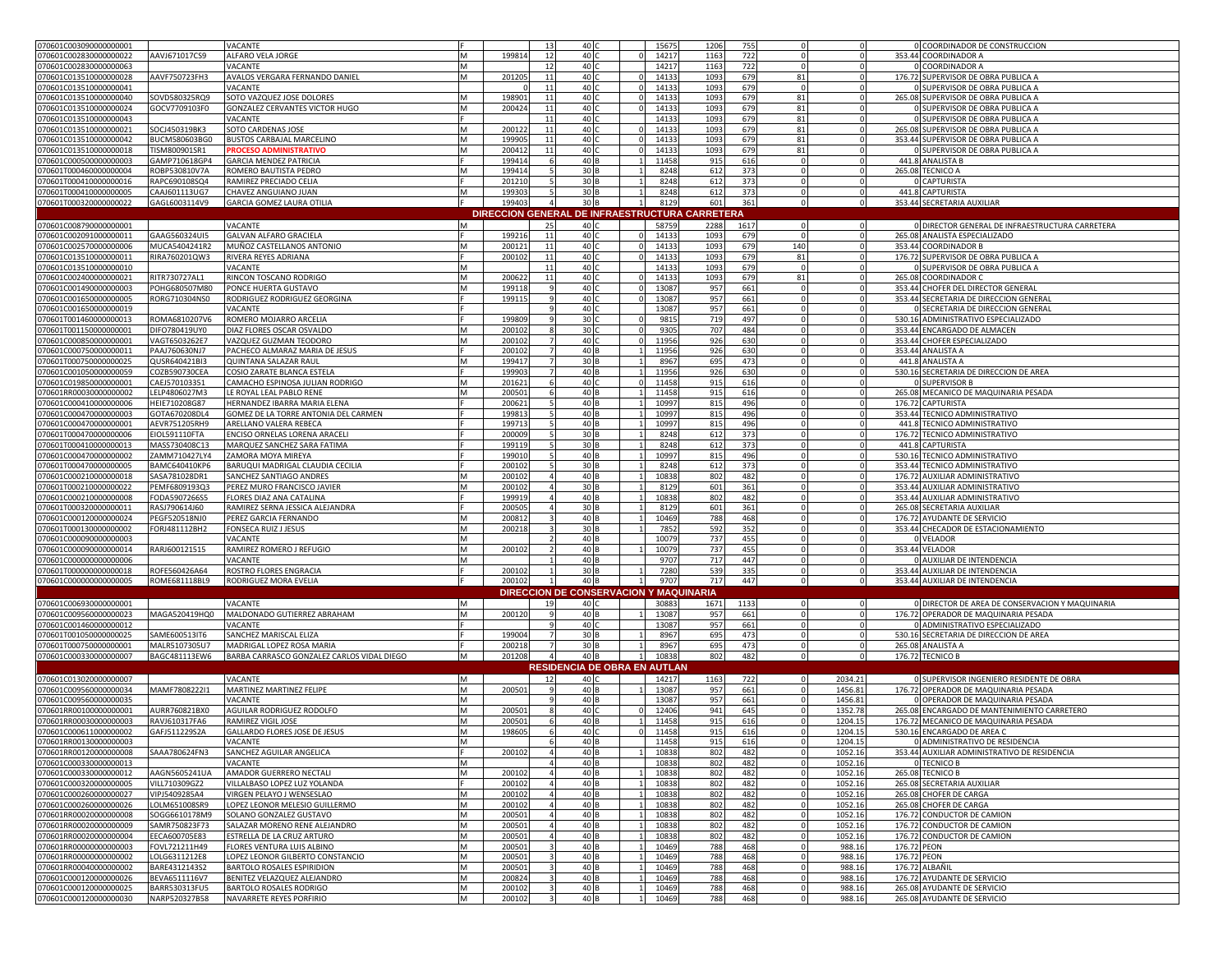| 070601C003090000000001                           |                                | VACANTE                                                     |   |                 | 13                      | 40                      |                | 15675                                          | 1206       | 755        | 0                       |              |             | 0 COORDINADOR DE CONSTRUCCION                                   |
|--------------------------------------------------|--------------------------------|-------------------------------------------------------------|---|-----------------|-------------------------|-------------------------|----------------|------------------------------------------------|------------|------------|-------------------------|--------------|-------------|-----------------------------------------------------------------|
| 070601C002830000000022                           | AAVJ671017CS9                  | ALFARO VELA JORGE                                           | M | 19981           | 12                      | 40                      |                | 14217                                          | 1163       | 722        | $\mathbf 0$             |              |             | 353.44 COORDINADOR A                                            |
| 070601C002830000000063                           |                                | VACANTE                                                     | M |                 | 12                      | 40                      |                | 14217                                          | 1163       | 722        |                         |              |             | <b>COORDINADOR A</b>                                            |
| 070601C013510000000028                           | AAVF750723FH3                  | AVALOS VERGARA FERNANDO DANIEL                              | M | 20120           | 11                      | 40 C                    |                | 14133                                          | 1093       | 679        | 81                      |              |             | 176.72 SUPERVISOR DE OBRA PUBLICA A                             |
| 070601C013510000000041                           |                                | VACANTE                                                     |   |                 | 11                      | 40                      | $\Omega$       | 14133                                          | 1093       | 679        | $\mathbf 0$             |              |             | O SUPERVISOR DE OBRA PUBLICA A                                  |
| 070601C013510000000040                           | SOVD580325RQ9                  | SOTO VAZQUEZ JOSE DOLORES                                   | M | 19890           | 11                      | 40 C                    | $\Omega$       | 14133                                          | 1093       | 679        | 81                      |              |             | 265.08 SUPERVISOR DE OBRA PUBLICA A                             |
| 070601C013510000000024                           | GOCV7709103F0                  | GONZALEZ CERVANTES VICTOR HUGO                              | M | 200424          | 11                      | 40                      |                | 14133                                          | 1093       | 679        | 81                      |              |             | 0 SUPERVISOR DE OBRA PUBLICA A                                  |
| 070601C013510000000043                           |                                | VACANTE                                                     |   |                 | 11                      | 40                      |                | 14133                                          | 1093       | 679        | 81                      |              |             | O SUPERVISOR DE OBRA PUBLICA A                                  |
| 070601C013510000000021                           | SOCJ450319BK3                  | SOTO CARDENAS JOSE                                          | M | 20012           | 11                      | 40                      |                | 14133                                          | 1093       | 679        | 81                      |              |             | 265.08 SUPERVISOR DE OBRA PUBLICA A                             |
| 070601C013510000000042                           | BUCM580603BG0                  | <b>BUSTOS CARBAJAL MARCELINO</b>                            | M | 19990           | 11                      | 40 <sub>1</sub>         |                | 14133                                          | 1093       | 679        | 81                      |              |             | 353.44 SUPERVISOR DE OBRA PUBLICA A                             |
| 070601C013510000000018                           | TISM800901SR1                  | <b>ROCESO ADMINISTRATIVO</b>                                | M | 20041           | 11                      | 40 <sub>1</sub>         |                | 14133                                          | 1093       | 679        | 81                      |              |             | SUPERVISOR DE OBRA PUBLICA A                                    |
| 070601C000500000000003                           | GAMP710618GP4                  | <b>GARCIA MENDEZ PATRICIA</b>                               |   | 19941           |                         | 40 B                    |                | 11458                                          | 915        | 616        |                         |              |             | 441.8 ANALISTA B                                                |
| 070601T000460000000004                           | ROBP530810V7A                  | ROMERO BAUTISTA PEDRO                                       | M | 19941           |                         | 30 E                    |                | 8248                                           | 612        | 373        | $\Omega$                |              |             | 265.08 TECNICO A                                                |
| 070601T000410000000016                           | RAPC690108SQ4                  | RAMIREZ PRECIADO CELIA                                      |   | 20121           |                         | 30 <sub>B</sub>         |                | 8248                                           | 612        | 373        |                         |              |             | <b>0 CAPTURISTA</b>                                             |
| 070601T000410000000005                           | CAAJ601113UG7                  | CHAVEZ ANGUIANO JUAN                                        | M | 199303          |                         | 30 <sub>B</sub>         |                | 8248                                           | 612        | 373        | $\Omega$                |              |             | 441.8 CAPTURISTA                                                |
| 070601T000320000000022                           | GAGL6003114V9                  | GARCIA GOMEZ LAURA OTILIA                                   |   | 199403          | $\overline{4}$          | 30B                     | 1              | 8129                                           | 601        | 361        | $\mathbf 0$             |              |             | 353.44 SECRETARIA AUXILIAR                                      |
|                                                  |                                |                                                             |   |                 |                         |                         |                | DIRECCION GENERAL DE INFRAESTRUCTURA CARRETERA |            |            |                         |              |             |                                                                 |
| 070601C008790000000001                           |                                | VACANTE                                                     | M |                 | 25                      | 40 C                    |                | 58759                                          | 2288       | 1617       | $\mathbf 0$             |              |             | 0 DIRECTOR GENERAL DE INFRAESTRUCTURA CARRETERA                 |
| 070601C002091000000011                           | GAAG560324UI5                  | GALVAN ALFARO GRACIELA                                      |   | 19921           | 11                      | 40 C                    |                | 14133                                          | 1093       | 679        | $\mathbf 0$             |              |             | 265.08 ANALISTA ESPECIALIZADO                                   |
| 070601C002570000000006                           | MUCA5404241R2                  | MUÑOZ CASTELLANOS ANTONIO                                   | M | 200121          | 11                      | 40 C                    | $\Omega$       | 14133                                          | 1093       | 679        | 140                     | $\circ$      |             | 353.44 COORDINADOR B                                            |
| 070601C013510000000011                           | RIRA760201QW3                  | RIVERA REYES ADRIANA                                        |   | 20010           | 11                      | 40 C                    | $\Omega$       | 14133                                          | 1093       | 679        | 81                      | <sup>n</sup> |             | 176.72 SUPERVISOR DE OBRA PUBLICA A                             |
| 070601C013510000000010                           |                                | VACANTE                                                     | M |                 | 11                      | 40                      |                | 14133                                          | 1093       | 679        | $\mathbf 0$             |              |             | 0 SUPERVISOR DE OBRA PUBLICA A                                  |
| 070601C002400000000021                           | RITR730727AL1                  | RINCON TOSCANO RODRIGO                                      | M | 20062           | 11                      | 40 C                    | $\Omega$       | 14133                                          | 1093       | 679        | 81                      |              |             | 265.08 COORDINADOR C                                            |
| 070601C001490000000003                           | POHG680507M80                  | PONCE HUERTA GUSTAVO                                        | M | 199118          |                         | 40                      | $\Omega$       | 13087                                          | 957        | 661        | $\mathbf 0$             |              |             | 353.44 CHOFER DEL DIRECTOR GENERAL                              |
| 070601C001650000000005                           | RORG710304NS0                  | RODRIGUEZ RODRIGUEZ GEORGINA                                |   | 19911           |                         | 40                      |                | 1308                                           | 957        | 661        |                         |              |             | 353.44 SECRETARIA DE DIRECCION GENERAL                          |
| 070601C001650000000019                           |                                | VACANTE                                                     |   |                 |                         | 40 <sub>1</sub>         |                | 13087                                          | 957        | 661        |                         |              |             | SECRETARIA DE DIRECCION GENERAL                                 |
| 070601T001460000000013                           | ROMA6810207V6                  | ROMERO MOJARRO ARCELIA                                      |   | 19980           |                         | 30                      |                | 981                                            | 719        | 497        |                         |              |             | 530.16 ADMINISTRATIVO ESPECIALIZADO                             |
| 070601T001150000000001                           | DIFO780419UY0                  | DIAZ FLORES OSCAR OSVALDO                                   | M | 200102          |                         | 30                      |                | 9305                                           | 707        | 484        |                         |              |             | 353.44 ENCARGADO DE ALMACEN                                     |
| 070601C00085000000000                            | VAGT6503262E7                  | VAZQUEZ GUZMAN TEODORO                                      | M | 20010           |                         | 40 <sub>1</sub>         |                | 11956                                          | 926        | 630        |                         | $\Omega$     |             | 353.44 CHOFER ESPECIALIZADO                                     |
| 070601C000750000000011                           | PAAJ760630NJ7                  | PACHECO ALMARAZ MARIA DE JESUS                              |   | 20010           |                         | 40 B                    |                | 11956                                          | 926        | 630        |                         |              |             | 353.44 ANALISTA A                                               |
| 070601T000750000000025                           | 2USR640421BI3                  | QUINTANA SALAZAR RAUL                                       | M | 199417          |                         | 30 E                    |                | 8967                                           | 695        | 473        |                         |              |             | 441.8 ANALISTA A                                                |
| 070601C001050000000059                           | COZB590730CEA                  | COSIO ZARATE BLANCA ESTELA                                  |   | 199903          |                         | 40 E                    |                | 11956                                          | 926        | 630        |                         |              |             | 530.16 SECRETARIA DE DIRECCION DE AREA                          |
| 070601C019850000000001                           | CAEJ570103351                  | CAMACHO ESPINOSA JULIAN RODRIGO                             | M | 20162           |                         | 40 <sub>1</sub>         |                | 11458                                          | 915        | 616        |                         |              |             | <b>SUPERVISOR B</b>                                             |
| 070601RR00030000000002                           | ELP4806027M3                   | E ROYAL LEAL PABLO RENE                                     | M | 20050           |                         | 40 B                    |                | 11458                                          | 915        | 616        |                         |              |             | 265.08 MECANICO DE MAQUINARIA PESADA                            |
| 070601C000410000000006                           | IEIE710208G87                  | HERNANDEZ IBARRA MARIA ELENA                                |   | 200621          |                         | 40 E                    |                | 10997                                          | 815        | 496        |                         |              |             | 176.72 CAPTURISTA                                               |
| 070601C000470000000003                           | GOTA670208DL4                  |                                                             |   | 19981           |                         | 40 E                    |                | 10997                                          |            |            |                         |              |             | 353.44 TECNICO ADMINISTRATIVO                                   |
|                                                  |                                | GOMEZ DE LA TORRE ANTONIA DEL CARMEN                        |   |                 |                         |                         |                |                                                | 815        | 496        |                         |              |             | 441.8 TECNICO ADMINISTRATIVO                                    |
| 070601C000470000000001                           | AEVR751205RH9<br>IOL591110FTA  | ARELLANO VALERA REBECA                                      |   | 19971<br>20000  |                         | 40 B<br>30 B            |                | 10997<br>8248                                  | 815<br>612 | 496<br>373 |                         |              |             | 176.72 TECNICO ADMINISTRATIVO                                   |
| 070601T00047000000000                            |                                | ENCISO ORNELAS LORENA ARACEL                                |   | 19911           |                         | 30 B                    |                | 8248                                           |            | 373        |                         |              |             |                                                                 |
| 070601T000410000000013<br>070601C000470000000002 | MASS730408C13                  | MARQUEZ SANCHEZ SARA FATIMA                                 |   | 19901           |                         | 40 B                    |                | 10997                                          | 612        | 496        | $\Omega$                |              |             | 441.8 CAPTURISTA                                                |
| 070601T000470000000009                           | ZAMM710427LY4                  | ZAMORA MOYA MIREYA                                          |   |                 |                         |                         |                |                                                | 815<br>612 |            |                         |              |             | 530.16 TECNICO ADMINISTRATIVO                                   |
| 070601C000210000000018                           | BAMC640410KP6<br>SASA781028DR1 | BARUQUI MADRIGAL CLAUDIA CECILIA<br>SANCHEZ SANTIAGO ANDRES | M | 200102          |                         | 30 <sub>B</sub><br>40 B |                | 8248<br>10838                                  | 802        | 373<br>482 | $\mathbf 0$<br>$\Omega$ |              |             | 353.44 TECNICO ADMINISTRATIVO<br>176.72 AUXILIAR ADMINISTRATIVO |
|                                                  |                                |                                                             |   | 20010           |                         |                         |                |                                                |            |            |                         |              |             |                                                                 |
| 070601T000210000000022                           | PEMF6809193Q3                  | PEREZ MURO FRANCISCO JAVIER                                 | M | 20010           |                         | 30 B                    |                | 8129                                           | 601        | 361        | $\mathbf 0$             |              |             | 353.44 AUXILIAR ADMINISTRATIVO                                  |
| 070601C000210000000008                           | FODA5907266S5                  | FLORES DIAZ ANA CATALINA<br>RAMIREZ SERNA JESSICA ALEJANDRA |   | 19991<br>200505 |                         | 40 B<br>30 <sub>B</sub> |                | 10838                                          | 802        | 482        |                         |              |             | 353.44 AUXILIAR ADMINISTRATIVO                                  |
| 070601T000320000000011                           | RASJ790614J60                  |                                                             |   |                 | $\overline{a}$          |                         |                | 8129                                           | 601        | 361<br>468 | $\mathbf 0$<br>$\Omega$ | 0            |             | 265.08 SECRETARIA AUXILIAR                                      |
|                                                  |                                |                                                             |   |                 |                         |                         |                |                                                |            |            |                         |              |             |                                                                 |
| 070601C000120000000024                           | PEGF520518NJ0                  | PEREZ GARCIA FERNANDO                                       | M | 20081           |                         | 40 B                    | $\mathbf{1}$   | 10469                                          | 788        |            |                         |              |             | 176.72 AYUDANTE DE SERVICIO                                     |
| 070601T000130000000002                           | ORJ481112BH2                   | FONSECA RUIZ J JESUS                                        | M | 20021           |                         | 30 <sub>B</sub>         |                | 7852                                           | 592        | 352        | $\mathbf 0$             |              |             | 353.44 CHECADOR DE ESTACIONAMIENTO                              |
| 070601C000090000000003                           |                                | VACANTE                                                     | M |                 |                         | 40 B                    |                | 10079                                          | 737        | 455        | $\mathbf 0$             |              |             | 0 VELADOR                                                       |
| 070601C000090000000014                           | RARJ600121515                  | RAMIREZ ROMERO J REFUGIO                                    | M | 200102          |                         | 40 B                    |                | 10079                                          | 737        | 455        | $\mathbf 0$             | $\Omega$     |             | 353.44 VELADOR                                                  |
| 070601C000000000000006                           |                                | VACANTE                                                     | M |                 |                         | 40 B                    |                | 9707                                           | 717        | 447        | $\Omega$                |              |             | <b>0 AUXILIAR DE INTENDENCIA</b>                                |
| 070601T000000000000018                           | ROFE560426A64                  | ROSTRO FLORES ENGRACIA                                      |   | 20010           |                         | 30 B                    |                | 7280                                           | 539        | 335        | $\Omega$                |              |             | 353.44 AUXILIAR DE INTENDENCIA                                  |
| 070601C000000000000005                           | ROME681118BL9                  | RODRIGUEZ MORA EVELIA                                       |   | 200102          | $\overline{1}$          | 40 B                    |                | 9707                                           | 717        | 447        | $\overline{0}$          |              |             | 353.44 AUXILIAR DE INTENDENCIA                                  |
|                                                  |                                |                                                             |   |                 |                         |                         |                | DIRECCION DE CONSERVACION Y MAQUINARIA         |            |            |                         |              |             |                                                                 |
| 070601C006930000000001                           |                                | VACANTE                                                     | M |                 | 19                      | 40 <sub>1</sub>         |                | 30883                                          | 1671       | 1133       | $\mathbf 0$             |              |             | 0 DIRECTOR DE AREA DE CONSERVACION Y MAQUINARIA                 |
| 070601C009560000000023                           | MAGA520419HQ0                  | MALDONADO GUTIERREZ ABRAHAM                                 | M | 200120          |                         | 40 E                    |                | 13087                                          | 957        | 661        | $\mathbf 0$             |              |             | 176.72 OPERADOR DE MAQUINARIA PESADA                            |
| 070601C001460000000012                           |                                | VACANTE                                                     |   |                 |                         | 40 <sub>1</sub>         |                | 13087                                          | 957        | 661        | $\mathbf 0$             |              |             | 0 ADMINISTRATIVO ESPECIALIZADO                                  |
| 070601T001050000000025                           | SAME600513IT6                  | SANCHEZ MARISCAL ELIZA                                      |   | 19900           |                         | 30 B                    |                | 8967                                           | 695        | 473        |                         |              |             | 530.16 SECRETARIA DE DIRECCION DE AREA                          |
| 070601T000750000000001                           | MALR5107305U7                  | MADRIGAL LOPEZ ROSA MARIA                                   |   | 20021           |                         | 30 B                    |                | 8967                                           | 695        | 473        | $\mathbf 0$             |              |             | 265.08 ANALISTA A                                               |
| 070601C000330000000007                           | BAGC481113EW6                  | BARBA CARRASCO GONZALEZ CARLOS VIDAL DIEGO                  | M | 201208          | $\overline{4}$          | 40 B                    | $\overline{1}$ | 10838                                          | 802        | 482        | $\circ$                 |              |             | 176.72 TECNICO B                                                |
|                                                  |                                |                                                             |   |                 |                         |                         |                | RESIDENCIA DE OBRA EN AUTLAN                   |            |            |                         |              |             |                                                                 |
| 070601C013020000000007                           |                                | VACANTE                                                     | M |                 | 12                      | 40 C                    |                | 14217                                          | 1163       | 722        | $\mathbf 0$             | 2034.21      |             | 0 SUPERVISOR INGENIERO RESIDENTE DE OBRA                        |
| 070601C009560000000034                           | MAMF780822211                  | MARTINEZ MARTINEZ FELIPE                                    | M | 200501          | <b>q</b>                | 40 B                    |                | 13087                                          | 957        | 661        | $\mathbf 0$             | 1456.81      |             | 176.72 OPERADOR DE MAQUINARIA PESADA                            |
| 070601C009560000000035                           |                                | VACANTE                                                     | M |                 |                         | 40 B                    |                | 13087                                          | 957        | 661        | $\mathbf 0$             | 1456.81      |             | 0 OPERADOR DE MAQUINARIA PESADA                                 |
| 070601RR00100000000001                           | AURR760821BX0                  | AGUILAR RODRIGUEZ RODOLFO                                   | M | 20050           |                         | 40                      |                | 12406                                          | 941        | 645        | $\mathbf 0$             | 1352.7       |             | 265.08 ENCARGADO DE MANTENIMIENTO CARRETERO                     |
| 070601RR00030000000003                           | RAVJ610317FA6                  | RAMIREZ VIGIL JOSE                                          | M | 200501          |                         | 40 B                    |                | 11458                                          | 915        | 616        | $\mathbf 0$             | 1204.1       |             | 176.72 MECANICO DE MAQUINARIA PESADA                            |
| 070601C000611000000002                           | GAFJ511229S2A                  | GALLARDO FLORES JOSE DE JESUS                               | M | 198605          |                         | 40                      |                | 11458                                          | 915        | 616        | $\mathbf 0$             | 1204.15      |             | 530.16 ENCARGADO DE AREA C                                      |
| 070601RR00130000000003                           |                                | VACANTE                                                     |   |                 |                         | 40 E                    |                | 11458                                          |            | 616        |                         | 1204.15      |             | 0 ADMINISTRATIVO DE RESIDENCIA                                  |
| 070601RR00120000000008                           | SAAA780624FN3                  | SANCHEZ AGUILAR ANGELICA                                    |   | 200102          |                         | 40 B                    |                | 10838                                          | 802        | 482        | $\Omega$                | 1052.16      |             | 353.44 AUXILIAR ADMINISTRATIVO DE RESIDENCIA                    |
| 070601C000330000000013                           |                                | VACANTE                                                     | M |                 |                         | 40 B                    |                | 10838                                          | 802        | 482        | $\overline{0}$          | 1052.16      |             | <b>0 TECNICO B</b>                                              |
| 070601C000330000000012                           | AAGN5605241UA                  | AMADOR GUERRERO NECTALI                                     | M | 200102          | $\overline{4}$          | 40 B                    |                | 10838                                          | 802        | 482        | $\mathbf 0$             | 1052.16      |             | 265.08 TECNICO B                                                |
| 070601C000320000000005                           | VILL710309GZ2                  | VILLALBASO LOPEZ LUZ YOLANDA                                |   | 200102          |                         | 40 B                    | $\overline{1}$ | 10838                                          | 802        | 482        | $\overline{\mathbf{0}}$ | 1052.16      |             | 265.08 SECRETARIA AUXILIAR                                      |
| 070601C000260000000027                           | VIPJ5409285A4                  | VIRGEN PELAYO J WENSESLAO                                   | M | 200102          |                         | 40 B                    | $\overline{1}$ | 10838                                          | 802        | 482        | $\overline{0}$          | 1052.16      |             | 265.08 CHOFER DE CARGA                                          |
| 070601C000260000000026                           | LOLM651008SR9                  | LOPEZ LEONOR MELESIO GUILLERMO                              | M | 200102          |                         | 40 <sub>B</sub>         |                | 10838                                          | 802        | 482        | $\mathbf 0$             | 1052.16      |             | 265.08 CHOFER DE CARGA                                          |
| 070601RR00020000000008                           | SOGG6610178M9                  | SOLANO GONZALEZ GUSTAVO                                     | M | 200501          |                         | 40 B                    |                | 10838                                          | 802        | 482        | $\mathbf 0$             | 1052.16      |             | 176.72 CONDUCTOR DE CAMION                                      |
| 070601RR00020000000009                           | SAMR750823F73                  | SALAZAR MORENO RENE ALEJANDRO                               | M | 200501          |                         | 40 B                    | -1             | 10838                                          | 802        | 482        | $\circ$                 | 1052.16      |             | 176.72 CONDUCTOR DE CAMION                                      |
| 070601RR00020000000004                           | EECA600705E83                  | ESTRELLA DE LA CRUZ ARTURO                                  | M | 20050           |                         | 40 B                    |                | 10838                                          | 802        | 482        | $\Omega$                | 1052.16      |             | 176.72 CONDUCTOR DE CAMION                                      |
| 070601RR00000000000003                           | FOVL721211H49                  | FLORES VENTURA LUIS ALBINO                                  | M | 200501          |                         | 40 <sub>B</sub>         |                | 10469                                          | 788        | 468        |                         | 988.16       | 176.72 PEON |                                                                 |
| 070601RR00000000000002                           | LOLG6311212E8                  | LOPEZ LEONOR GILBERTO CONSTANCIO                            | M | 200501          | $\overline{\mathbf{a}}$ | 40 <sub>B</sub>         | $\mathbf{1}$   | 10469                                          | 788        | 468        | $\mathbf 0$             | 988.16       | 176.72 PEON |                                                                 |
| 070601RR00040000000002                           | BARE4312143S2                  | <b>BARTOLO ROSALES ESPIRIDION</b>                           | M | 200501          |                         | 40 <sub>B</sub>         |                | 10469                                          | 788        | 468        | $\Omega$                | 988.16       |             | 176.72 ALBAÑIL                                                  |
|                                                  | BEVA6511116V7                  | BENITEZ VELAZQUEZ ALEJANDRO                                 | M | 200824          |                         | 40 B                    |                | 10469                                          | 788        | 468        | $\circ$                 | 988.16       |             |                                                                 |
| 070601C000120000000026<br>070601C000120000000025 | BARR530313FU5                  | BARTOLO ROSALES RODRIGO                                     | M | 200102          |                         | 40 B                    |                | 10469                                          | 788        | 468        |                         | 988.16       |             | 176.72 AYUDANTE DE SERVICIO<br>265.08 AYUDANTE DE SERVICIO      |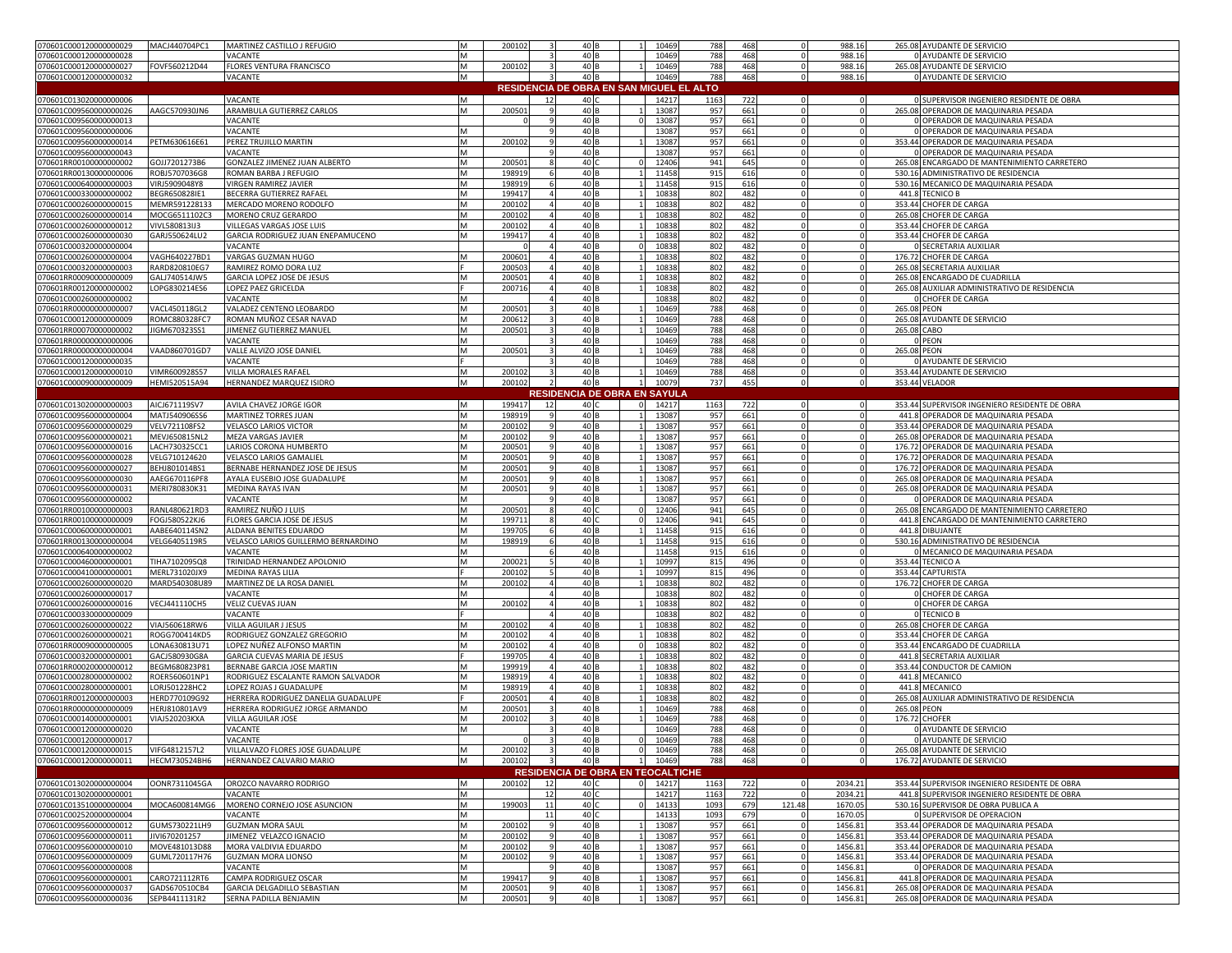| 070601C000120000000029                           | MACJ440704PC1                  | MARTINEZ CASTILLO J REFUGIO                           | M | 200102           |                         | 40 B                                     |                | 10469          | 788                                      | 468        | $\mathbf 0$        | 988.16             |             | 265.08 AYUDANTE DE SERVICIO                                                  |
|--------------------------------------------------|--------------------------------|-------------------------------------------------------|---|------------------|-------------------------|------------------------------------------|----------------|----------------|------------------------------------------|------------|--------------------|--------------------|-------------|------------------------------------------------------------------------------|
| 070601C000120000000028                           |                                | VACANTE                                               | M |                  |                         | 40 <sub>B</sub>                          |                | 10469          | 788                                      | 468        | $\Omega$           | 988.16             |             | 0 AYUDANTE DE SERVICIO                                                       |
| 070601C000120000000027                           | FOVF560212D44                  | FLORES VENTURA FRANCISCO                              | M | 200102           |                         | 40 B                                     |                | 10469          | 788                                      | 468        | $\circ$            | 988.16             |             | 265.08 AYUDANTE DE SERVICIO                                                  |
| 070601C000120000000032                           |                                | VACANTE                                               | M |                  | $\mathbf{3}$            | 40 B                                     |                | 10469          | 788                                      | 468        | $\circ$            | 988.16             |             | 0 AYUDANTE DE SERVICIO                                                       |
|                                                  |                                |                                                       |   |                  |                         |                                          |                |                |                                          |            |                    |                    |             |                                                                              |
|                                                  |                                |                                                       |   |                  |                         |                                          |                |                | RESIDENCIA DE OBRA EN SAN MIGUEL EL ALTO |            |                    |                    |             |                                                                              |
| 070601C013020000000006                           |                                | VACANTE                                               | M |                  | 12                      | 40 C                                     |                | 14217          | 1163                                     | 722        | $\Omega$           | $\Omega$           |             | 0 SUPERVISOR INGENIERO RESIDENTE DE OBRA                                     |
| 070601C009560000000026                           | AAGC570930JN6                  | ARAMBULA GUTIERREZ CARLOS                             | M | 200501           |                         | 40 B                                     |                | 1308           | 957                                      | 661        | $\mathbf 0$        |                    |             | 265.08 OPERADOR DE MAQUINARIA PESADA                                         |
| 070601C009560000000013                           |                                | VACANTE                                               |   |                  |                         | 40 <sub>B</sub>                          | $\Omega$       | 13087          | 957                                      | 661        | $\circ$            | $\Omega$           |             | O OPERADOR DE MAQUINARIA PESADA                                              |
| 070601C009560000000006                           |                                | VACANTE                                               | M |                  |                         | 40B                                      |                | 13087          | 957                                      | 661        | $\mathbf 0$        |                    |             | 0 OPERADOR DE MAQUINARIA PESADA                                              |
|                                                  |                                |                                                       |   |                  |                         |                                          |                |                |                                          |            |                    |                    |             |                                                                              |
| 070601C009560000000014                           | PETM630616E61                  | PEREZ TRUJILLO MARTIN                                 | M | 200102           |                         | 40 B                                     |                | 13087          | 957                                      | 661        | $\Omega$           | $\mathbf 0$        |             | 353.44 OPERADOR DE MAQUINARIA PESADA                                         |
| 070601C009560000000043                           |                                | VACANTE                                               | M |                  |                         | 40 <sub>B</sub>                          |                | 13087          | 957                                      | 661        | $\Omega$           | $\mathbf 0$        |             | 0 OPERADOR DE MAQUINARIA PESADA                                              |
| 070601RR00100000000002                           | GOJJ7201273B6                  | GONZALEZ JIMENEZ JUAN ALBERTO                         | M | 200501           |                         | 40 0                                     |                | 12406          | 941                                      | 645        | $\Omega$           | $\mathbf 0$        |             | 265.08 ENCARGADO DE MANTENIMIENTO CARRETERO                                  |
| 070601RR00130000000006                           | ROBJ5707036G8                  | ROMAN BARBA J REFUGIO                                 | M | 198919           |                         | 40B                                      | $\overline{1}$ | 11458          | 915                                      | 616        | $\Omega$           | $\mathbf{0}$       |             | 530.16 ADMINISTRATIVO DE RESIDENCIA                                          |
| 070601C000640000000003                           | VIRJ5909048Y8                  | VIRGEN RAMIREZ JAVIER                                 | M | 198919           |                         | 40 <sub>B</sub>                          |                | 11458          | 915                                      | 616        | $\Omega$           | $\circ$            |             | 530.16 MECANICO DE MAQUINARIA PESADA                                         |
|                                                  |                                |                                                       |   |                  |                         |                                          |                |                |                                          |            |                    |                    |             |                                                                              |
| 070601C000330000000002                           | BEGR650828IE1                  | BECERRA GUTIERREZ RAFAEL                              | M | 199417           | $\overline{a}$          | 40 B                                     | $\overline{1}$ | 10838          | 802                                      | 482        | $\Omega$           | $\circ$            |             | 441.8 TECNICO B                                                              |
| 070601C000260000000015                           | MEMR591228133                  | MERCADO MORENO RODOLFO                                | M | 200102           |                         | 40 B                                     | $\overline{1}$ | 10838          | 802                                      | 482        | $\circ$            | $\circ$            |             | 353.44 CHOFER DE CARGA                                                       |
| 070601C000260000000014                           | MOCG6511102C3                  | MORENO CRUZ GERARDO                                   | M | 200102           |                         | 40 B                                     |                | 10838          | 802                                      | 482        |                    |                    |             | 265.08 CHOFER DE CARGA                                                       |
| 070601C000260000000012                           | VIVL580813IJ3                  | VILLEGAS VARGAS JOSE LUIS                             | M | 200102           | $\overline{4}$          | 40 <sub>B</sub>                          |                | 10838          | 802                                      | 482        | $\Omega$           | $\mathbf 0$        |             | 353.44 CHOFER DE CARGA                                                       |
| 070601C000260000000030                           | GARJ550624LU2                  | GARCIA RODRIGUEZ JUAN ENEPAMUCENO                     | M | 199417           | $\overline{4}$          | 40 B                                     | $\mathbf{1}$   | 10838          | 802                                      | 482        | $\Omega$           | $\circ$            |             | 353.44 CHOFER DE CARGA                                                       |
|                                                  |                                |                                                       |   |                  |                         |                                          |                |                |                                          |            |                    |                    |             |                                                                              |
| 070601C000320000000004                           |                                | VACANTE                                               |   |                  | $\overline{4}$          | 40 B                                     | $\Omega$       | 10838          | 802                                      | 482        | $\circ$            | $\circ$            |             | <b>0 SECRETARIA AUXILIAR</b>                                                 |
| 070601C000260000000004                           | VAGH640227BD1                  | VARGAS GUZMAN HUGO                                    | M | 200601           |                         | 40 <sub>B</sub>                          | $\mathbf{1}$   | 10838          | 802                                      | 482        | $\Omega$           | $\mathbf 0$        |             | 176.72 CHOFER DE CARGA                                                       |
| 070601C000320000000003                           | RARD820810EG7                  | RAMIREZ ROMO DORA LUZ                                 |   | 200503           |                         | 40 <sub>B</sub>                          | 1              | 10838          | 802                                      | 482        | $\mathbf 0$        | $\mathbf 0$        |             | 265.08 SECRETARIA AUXILIAR                                                   |
| 070601RR00090000000009                           | GALJ740514JW5                  | GARCIA LOPEZ JOSE DE JESUS                            | M | 200501           | $\overline{a}$          | 40 B                                     | $\mathbf{1}$   | 10838          | 802                                      | 482        | $\Omega$           | $\circ$            |             | 265.08 ENCARGADO DE CUADRILLA                                                |
| 070601RR00120000000002                           | LOPG830214ES6                  | LOPEZ PAEZ GRICELDA                                   |   | 200716           |                         | 40 B                                     | $\overline{1}$ | 10838          | 802                                      | 482        | $\Omega$           | $\circ$            |             | 265.08 AUXILIAR ADMINISTRATIVO DE RESIDENCIA                                 |
|                                                  |                                | VACANTE                                               |   |                  |                         |                                          |                | 10838          |                                          |            | $\Omega$           |                    |             |                                                                              |
| 070601C000260000000002                           |                                |                                                       | M |                  |                         | 40 <sub>B</sub>                          |                |                | 802                                      | 482        |                    | $\mathbf{0}$       |             | <b>0 CHOFER DE CARGA</b>                                                     |
| 070601RR00000000000007                           | VACL450118GL2                  | VALADEZ CENTENO LEOBARDO                              | M | 200501           |                         | 40 <sub>B</sub>                          |                | 10469          | 788                                      | 468        |                    | $\mathbf 0$        | 265.08 PEON |                                                                              |
| 070601C000120000000009                           | ROMC880328FC7                  | ROMAN MUÑOZ CESAR NAVAD                               | M | 200612           |                         | 40 B                                     |                | 10469          | 788                                      | 468        |                    | $\mathbf{0}$       |             | 265.08 AYUDANTE DE SERVICIO                                                  |
| 070601RR00070000000002                           | JIGM670323SS1                  | <b>IIMENEZ GUTIERREZ MANUEL</b>                       | M | 200501           |                         | 40 B                                     |                | 10469          | 788                                      | 468        | $\Omega$           | $\Omega$           | 265.08 CABO |                                                                              |
| 070601RR00000000000006                           |                                | VACANTE                                               | M |                  |                         | 40 B                                     |                | 10469          | 788                                      | 468        | $\Omega$           |                    |             | 0 PEON                                                                       |
|                                                  |                                |                                                       |   |                  |                         |                                          |                |                |                                          |            |                    |                    |             |                                                                              |
| 070601RR00000000000004                           | VAAD860701GD7                  | VALLE ALVIZO JOSE DANIEL                              | M | 200501           |                         | 40 B                                     |                | 10469          | 788                                      | 468        |                    | $\mathbf{0}$       | 265.08 PEON |                                                                              |
| 070601C000120000000035                           |                                | VACANTE                                               |   |                  |                         | 40 B                                     |                | 10469          | 788                                      | 468        | $\Omega$           | $\mathbf{0}$       |             | 0 AYUDANTE DE SERVICIO                                                       |
| 070601C000120000000010                           | VIMR600928S57                  | VILLA MORALES RAFAEL                                  | M | 200102           |                         | 40 B                                     |                | 10469          | 788                                      | 468        | $\overline{0}$     | $\mathbf 0$        |             | 353.44 AYUDANTE DE SERVICIO                                                  |
| 070601C000090000000009                           | HEMI520515A94                  | HERNANDEZ MARQUEZ ISIDRO                              | M | 200102           | $\overline{2}$          | 40 B                                     | 1              | 10079          | 737                                      | 455        | $\circ$            | $\mathbf 0$        |             | 353.44 VELADOR                                                               |
|                                                  |                                |                                                       |   |                  |                         |                                          |                |                |                                          |            |                    |                    |             |                                                                              |
|                                                  |                                |                                                       |   |                  |                         | RESIDENCIA DE OBRA EN SAYULA             |                |                |                                          |            |                    |                    |             |                                                                              |
| 070601C013020000000003                           | AICJ671119SV7                  | AVILA CHAVEZ JORGE IGOR                               | M | 199417           | 12                      | 40 C                                     | $\Omega$       | 14217          | 1163                                     | 722        | $\overline{0}$     | $\circ$            |             | 353.44 SUPERVISOR INGENIERO RESIDENTE DE OBRA                                |
| 070601C009560000000004                           | MATJ540906SS6                  | MARTINEZ TORRES JUAN                                  | M | 198919           |                         | 40 B                                     | $\overline{1}$ | 13087          | 957                                      | 661        | $\Omega$           | $\mathbf 0$        |             | 441.8 OPERADOR DE MAQUINARIA PESADA                                          |
| 070601C009560000000029                           | VELV721108FS2                  | VELASCO LARIOS VICTOR                                 | M | 200102           | -9                      | 40 B                                     | $\mathbf{1}$   | 13087          | 957                                      | 661        | $\circ$            | $\mathbf 0$        |             | 353.44 OPERADOR DE MAQUINARIA PESADA                                         |
| 070601C009560000000021                           | MEVJ650815NL2                  | MEZA VARGAS JAVIER                                    | M | 200102           | -9                      | 40 B                                     | 1              | 13087          | 957                                      | 661        | $\circ$            | $\mathbf 0$        |             | 265.08 OPERADOR DE MAQUINARIA PESADA                                         |
|                                                  |                                |                                                       |   |                  |                         |                                          |                |                |                                          |            |                    |                    |             |                                                                              |
| 070601C009560000000016                           | LACH730325CC1                  | LARIOS CORONA HUMBERTO                                | M | 200501           | -9                      | 40 B                                     | $\overline{1}$ | 13087          | 957                                      | 661        | $\circ$            | $\circ$            |             | 176.72 OPERADOR DE MAQUINARIA PESADA                                         |
| 070601C009560000000028                           | VELG710124620                  | VELASCO LARIOS GAMALIEL                               | M | 200501           |                         | 40 <sub>B</sub>                          |                | 13087          | 957                                      | 661        | $\Omega$           | $\mathbf 0$        |             | 176.72 OPERADOR DE MAQUINARIA PESADA                                         |
| 070601C009560000000027                           | BEHJ801014BS1                  | BERNABE HERNANDEZ JOSE DE JESUS                       | M | 200501           | -9                      | 40 B                                     |                | 13087          | 957                                      | 661        | $\circ$            | $\mathbf 0$        |             | 176.72 OPERADOR DE MAQUINARIA PESADA                                         |
| 070601C009560000000030                           | AAEG670116PF8                  | AYALA EUSEBIO JOSE GUADALUPE                          | M | 200501           | - 9                     | 40 B                                     | $\mathbf{1}$   | 13087          | 957                                      | 661        | $\Omega$           | $\mathbf 0$        |             | 265.08 OPERADOR DE MAQUINARIA PESADA                                         |
| 070601C009560000000031                           | MERI780830K31                  | MEDINA RAYAS IVAN                                     | M | 200501           | -9                      | 40 B                                     | $\overline{1}$ | 13087          | 957                                      | 661        | $\circ$            | $\circ$            |             | 265.08 OPERADOR DE MAQUINARIA PESADA                                         |
|                                                  |                                |                                                       |   |                  |                         |                                          |                |                |                                          |            |                    |                    |             |                                                                              |
| 070601C009560000000002                           |                                | VACANTE                                               | M |                  |                         | 40 B                                     |                | 13087          | 957                                      | 661        | $\Omega$           | $\mathbf{0}$       |             | 0 OPERADOR DE MAQUINARIA PESADA                                              |
| 070601RR00100000000003                           | RANL480621RD3                  | RAMIREZ NUÑO J LUIS                                   | M | 200501           |                         | 40 0                                     | $\Omega$       | 12406          | 941                                      | 645        |                    | $\mathbf 0$        |             | 265.08 ENCARGADO DE MANTENIMIENTO CARRETERO                                  |
| 070601RR00100000000009                           | FOGJ580522KJ6                  | FLORES GARCIA JOSE DE JESUS                           | M | 199711           | -8                      | 40                                       | $\mathbf 0$    | 12406          | 941                                      | 645        | $\Omega$           | $\circ$            |             | 441.8 ENCARGADO DE MANTENIMIENTO CARRETERO                                   |
| 070601C000600000000001                           | AABE640114SN2                  | ALDANA BENITES EDUARDO                                | M | 19970            |                         | 40 B                                     | $\overline{1}$ | 11458          | 915                                      | 616        |                    | $\Omega$           |             | 441.8 DIBUJANTE                                                              |
| 070601RR00130000000004                           | VELG6405119R5                  | VELASCO LARIOS GUILLERMO BERNARDINO                   | M | 19891            |                         | 40 B                                     |                | 11458          | 915                                      | 616        | $\Omega$           | $\Omega$           |             | 530.16 ADMINISTRATIVO DE RESIDENCIA                                          |
|                                                  |                                |                                                       |   |                  |                         |                                          |                |                |                                          |            |                    |                    |             |                                                                              |
| 070601C000640000000002                           |                                | VACANTE                                               | M |                  |                         | 40 B                                     |                | 11458          | 915                                      | 616        |                    |                    |             | 0 MECANICO DE MAQUINARIA PESADA                                              |
| 070601C000460000000001                           | TIHA7102095Q8                  | TRINIDAD HERNANDEZ APOLONIO                           | M | 200021           |                         | 40 B                                     |                | 10997          | 815                                      | 496        |                    | $\mathbf{0}$       |             | 353.44 TECNICO A                                                             |
|                                                  | MERL731020JX9                  |                                                       |   |                  |                         |                                          |                |                |                                          | 496        | $\Omega$           | $\mathbf{0}$       |             | 353.44 CAPTURISTA                                                            |
|                                                  |                                | MEDINA RAYAS LILIA                                    |   |                  |                         |                                          | -1             |                |                                          |            |                    |                    |             |                                                                              |
| 070601C000410000000001                           |                                |                                                       |   | 200102           |                         | 40 B                                     | $\mathbf{1}$   | 10997          | 815                                      |            |                    |                    |             |                                                                              |
| 070601C000260000000020                           | MARD540308U89                  | MARTINEZ DE LA ROSA DANIEL                            | M | 20010            |                         | 40 B                                     |                | 10838          | 802                                      | 482        | $\Omega$           | $\mathbf{0}$       |             | 176.72 CHOFER DE CARGA                                                       |
| 070601C000260000000017                           |                                | VACANTE                                               | м |                  |                         | 40 B                                     |                | 10838          | 802                                      | 482        |                    |                    |             | <b>0 CHOFER DE CARGA</b>                                                     |
| 070601C000260000000016                           | VECJ441110CH5                  | VELIZ CUEVAS JUAN                                     | M | 200102           |                         | 40 B                                     |                | 10838          | 802                                      | 482        |                    | $\mathbf 0$        |             | <b>0 CHOFER DE CARGA</b>                                                     |
| 070601C000330000000009                           |                                | VACANTE                                               |   |                  |                         | 40 B                                     |                | 10838          | 802                                      | 482        |                    |                    |             | <b>O</b> TECNICO B                                                           |
|                                                  |                                |                                                       | M | 200102           |                         | 40 B                                     |                | 10838          | 802                                      | 482        |                    |                    |             |                                                                              |
| 070601C000260000000022                           | VIAJ560618RW6                  | <b>VILLA AGUILAR J JESUS</b>                          |   |                  |                         |                                          |                |                |                                          |            | $\Omega$           |                    |             | 265.08 CHOFER DE CARGA                                                       |
| 070601C000260000000021                           | ROGG700414KD5                  | RODRIGUEZ GONZALEZ GREGORIO                           | M | 200102           |                         | 40 B                                     |                | 10838          | 802                                      | 482        |                    | $\mathbf{0}$       |             | 353.44 CHOFER DE CARGA                                                       |
| 070601RR000900000000005                          | LONA630813U71                  | LOPEZ NUÑEZ ALFONSO MARTIN                            | M | 200102           | $\overline{4}$          | 40 B                                     | $\Omega$       | 10838          | 802                                      | 482        | $\Omega$           | $\mathbf{0}$       |             | 353.44 ENCARGADO DE CUADRILLA                                                |
| 070601C000320000000001                           | GACJ580930G8A                  | GARCIA CUEVAS MARIA DE JESUS                          |   | 199705           | $\overline{a}$          | 40 B                                     | $\overline{1}$ | 10838          | 802                                      | 482        | $\Omega$           | $\mathbf{0}$       |             | 441.8 SECRETARIA AUXILIAR                                                    |
| 070601RR00020000000012                           | BEGM680823P81                  | BERNABE GARCIA JOSE MARTIN                            | M | 19991            | $\overline{a}$          | 40 B                                     | $\overline{1}$ | 10838          | 802                                      | 482        | $\circ$            | $\circ$            |             | 353.44 CONDUCTOR DE CAMION                                                   |
| 070601C000280000000002                           | ROER560601NP1                  | RODRIGUEZ ESCALANTE RAMON SALVADOR                    | M | 19891            |                         | 40 B                                     |                | 10838          | 802                                      | 482        | $\Omega$           | $\mathbf 0$        |             | 441.8 MECANICO                                                               |
|                                                  |                                |                                                       |   |                  | 4                       |                                          |                |                |                                          |            | $\Omega$           |                    |             |                                                                              |
| 070601C000280000000001                           | LORJ501228HC2                  | LOPEZ ROJAS J GUADALUPE                               | M | 198919           |                         | 40 B                                     |                | 10838          | 802                                      | 482        |                    | $\circ$            |             | 441.8 MECANICO                                                               |
| 070601RR00120000000003                           | HERD770109G92                  | HERRERA RODRIGUEZ DANELIA GUADALUPE                   |   | 200501           | $\overline{a}$          | 40 B                                     | 1              | 10838          | 802                                      | 482        | $\Omega$           | $\circ$            |             | 265.08 AUXILIAR ADMINISTRATIVO DE RESIDENCIA                                 |
| 070601RR00000000000009                           | HERJ810801AV9                  | HERRERA RODRIGUEZ JORGE ARMANDO                       | M | 200501           |                         | 40 B                                     |                | 10469          | 788                                      | 468        | $\circ$            | $\mathbf 0$        | 265.08 PEON |                                                                              |
| 070601C000140000000001                           | VIAJ520203KXA                  | VILLA AGUILAR JOSE                                    | M | 200102           |                         | 40 B                                     |                | 10469          | 788                                      | 468        | $\Omega$           | $\Omega$           |             | 176.72 CHOFER                                                                |
| 070601C000120000000020                           |                                | VACANTE                                               | M |                  |                         | 40 B                                     |                | 10469          | 788                                      | 468        | $\circ$            | $\mathbf 0$        |             | 0 AYUDANTE DE SERVICIO                                                       |
| 070601C000120000000017                           |                                | VACANTE                                               |   |                  |                         | 40 B                                     |                | 0 10469        | 788                                      | 468        |                    |                    |             | O AYUDANTE DE SERVICIO                                                       |
|                                                  |                                |                                                       |   |                  |                         |                                          |                |                |                                          |            |                    |                    |             |                                                                              |
| 070601C000120000000015                           | VIFG4812157L2                  | VILLALVAZO FLORES JOSE GUADALUPE                      | M | 200102           |                         | 40 B                                     |                | 0 10469        | 788                                      | 468        | $\Omega$           |                    |             | 265.08 AYUDANTE DE SERVICIO                                                  |
| 070601C000120000000011                           | HECM730524BH6                  | HERNANDEZ CALVARIO MARIO                              | M | 200102           | $\overline{\mathbf{3}}$ | 40 B                                     |                | 1 10469        | 788                                      | 468        | $\circ$            | $\circ$            |             | 176.72 AYUDANTE DE SERVICIO                                                  |
|                                                  |                                |                                                       |   |                  |                         | <b>RESIDENCIA DE OBRA EN TEOCALTICHE</b> |                |                |                                          |            |                    |                    |             |                                                                              |
|                                                  | OONR7311045GA                  | OROZCO NAVARRO RODRIGO                                | M | 200102           | 12                      | 40 C                                     |                | 0 14217        |                                          | 722        | $\circ$            | 2034.21            |             |                                                                              |
| 070601C013020000000004                           |                                |                                                       |   |                  |                         |                                          |                |                | 1163                                     |            |                    |                    |             | 353.44 SUPERVISOR INGENIERO RESIDENTE DE OBRA                                |
| 070601C013020000000001                           |                                | VACANTE                                               | M |                  | 12                      | 40                                       |                | 14217          | 1163                                     | 722        |                    | 2034.21            |             | 441.8 SUPERVISOR INGENIERO RESIDENTE DE OBRA                                 |
| 070601C013510000000004                           | MOCA600814MG6                  | MORENO CORNEJO JOSE ASUNCION                          | M | 199003           | 11                      | 40                                       | $\circ$        | 14133          | 1093                                     | 679        | 121.48             | 1670.05            |             | 530.16 SUPERVISOR DE OBRA PUBLICA A                                          |
| 070601C002520000000004                           |                                | VACANTE                                               | M |                  | 11                      | 40                                       |                | 14133          | 1093                                     | 679        | 0                  | 1670.05            |             | 0 SUPERVISOR DE OPERACION                                                    |
| 070601C009560000000012                           | GUMS730221LH9                  | <b>GUZMAN MORA SAUL</b>                               | M | 200102           | 9                       | 40 <sub>B</sub>                          |                | 13087          | 957                                      | 661        | $\circ$            | 1456.81            |             | 353.44 OPERADOR DE MAQUINARIA PESADA                                         |
| 070601C009560000000011                           | JIVI670201257                  |                                                       | M |                  | -9                      |                                          |                |                |                                          |            | $\circ$            |                    |             | 353.44 OPERADOR DE MAQUINARIA PESADA                                         |
|                                                  |                                | JIMENEZ VELAZCO IGNACIO                               |   | 200102           |                         | 40 B                                     |                | 13087          | 957                                      | 661        |                    | 1456.81            |             |                                                                              |
| 070601C009560000000010                           | MOVE481013D88                  | MORA VALDIVIA EDUARDO                                 | M | 200102           | -9                      | 40 B                                     | 1              | 13087          | 957                                      | 661        | $\circ$            | 1456.81            |             | 353.44 OPERADOR DE MAQUINARIA PESADA                                         |
| 070601C009560000000009                           | GUML720117H76                  | <b>GUZMAN MORA LIONSO</b>                             | M | 200102           | -9                      | 40 B                                     | $\overline{1}$ | 13087          | 957                                      | 661        | $\circ$            | 1456.81            |             | 353.44 OPERADOR DE MAQUINARIA PESADA                                         |
| 070601C009560000000008                           |                                | VACANTE                                               | M |                  |                         | 40 B                                     |                | 13087          | 957                                      | 661        | $\mathbf{0}$       | 1456.81            |             | 0 OPERADOR DE MAQUINARIA PESADA                                              |
| 070601C009560000000001                           | CARO721112RT6                  | CAMPA RODRIGUEZ OSCAR                                 | M | 199417           |                         | 40 <sub>B</sub>                          |                | 13087          | 957                                      | 661        | $\circ$            | 1456.81            |             | 441.8 OPERADOR DE MAQUINARIA PESADA                                          |
|                                                  |                                |                                                       | M |                  |                         |                                          |                |                |                                          |            |                    |                    |             |                                                                              |
| 070601C009560000000037<br>070601C009560000000036 | GADS670510CB4<br>SEPB4411131R2 | GARCIA DELGADILLO SEBASTIAN<br>SERNA PADILLA BENJAMIN | M | 200501<br>200501 | -91                     | 40 B<br>40 B                             | $1 \vert$      | 13087<br>13087 | 957<br>957                               | 661<br>661 | $\circ$<br>$\circ$ | 1456.81<br>1456.81 |             | 265.08 OPERADOR DE MAQUINARIA PESADA<br>265.08 OPERADOR DE MAQUINARIA PESADA |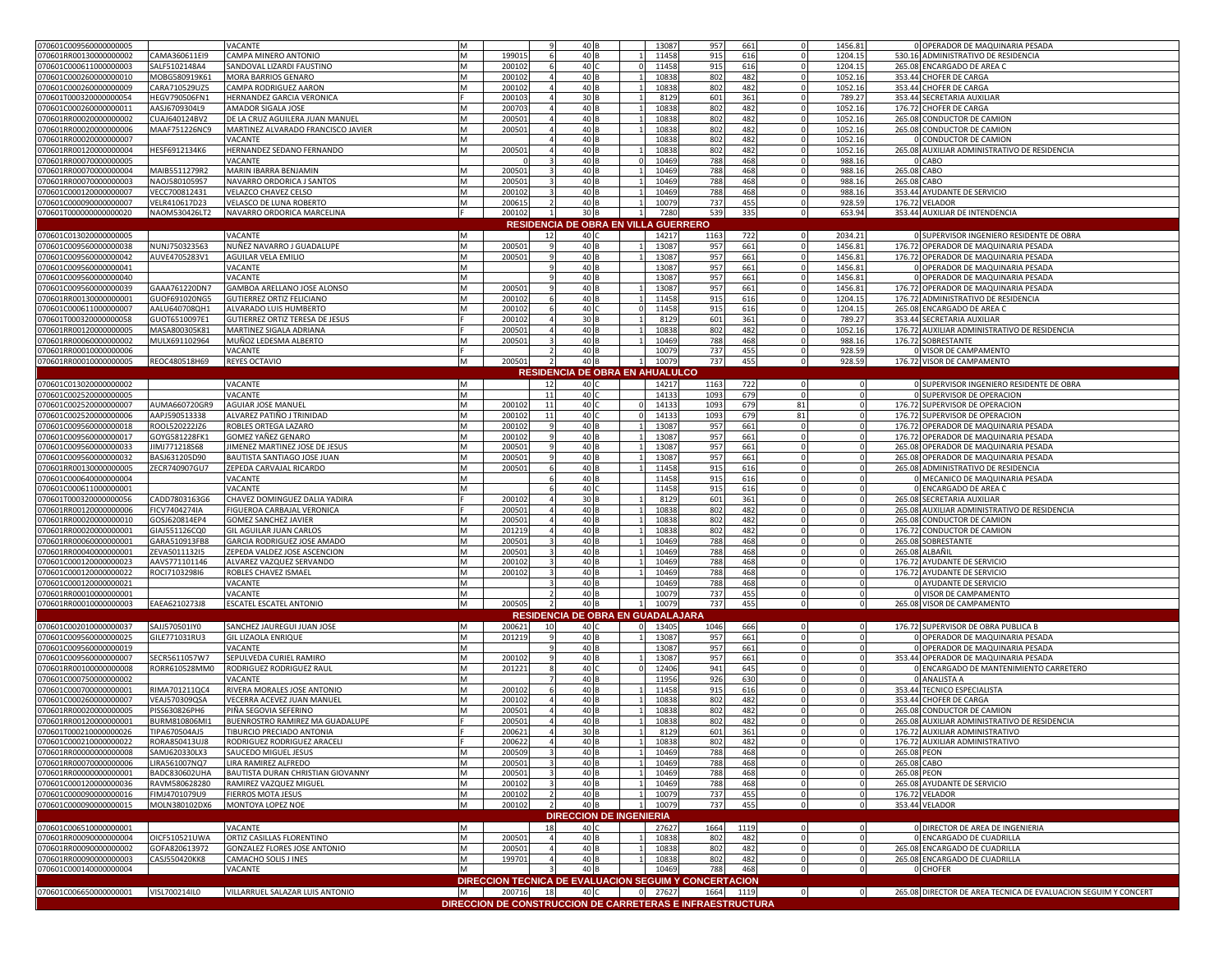| 070601C009560000000005                           |                                | VACANTE                                                | M      |                  |              | 40 B                                                      |              | 13087          | 957          | 661         | $\Omega$       | 1456.81            |             | 0 OPERADOR DE MAQUINARIA PESADA                                             |
|--------------------------------------------------|--------------------------------|--------------------------------------------------------|--------|------------------|--------------|-----------------------------------------------------------|--------------|----------------|--------------|-------------|----------------|--------------------|-------------|-----------------------------------------------------------------------------|
| 070601RR00130000000002                           | CAMA360611EI9                  | CAMPA MINERO ANTONIO                                   | M      | 19901            |              | 40 B                                                      |              | 11458          | 915          | 616         |                | 1204.15            |             | 530.16 ADMINISTRATIVO DE RESIDENCIA                                         |
| 070601C000611000000003                           | SALF5102148A4                  | SANDOVAL LIZARDI FAUSTINO                              | M      | 200102           |              | 40                                                        |              | 11458          | 915          | 616         |                | 1204.15            |             | 265.08 ENCARGADO DE AREA O                                                  |
| 070601C000260000000010                           | MOBG580919K61                  | MORA BARRIOS GENARO<br>CAMPA RODRIGUEZ AARON           | M      | 200102           |              | 40 B<br>40 B                                              |              | 10838          | 802          | 482<br>482  |                | 1052.16            |             | 353.44 CHOFER DE CARGA                                                      |
| 070601C000260000000009<br>070601T000320000000054 | CARA710529UZ5<br>HEGV790506FN1 | HERNANDEZ GARCIA VERONICA                              | M      | 200102<br>200103 |              | 30 F                                                      |              | 10838<br>8129  | 802<br>601   | 361         |                | 1052.16<br>789.27  |             | 353.44 CHOFER DE CARGA<br>353.44 SECRETARIA AUXILIAR                        |
| 070601C000260000000011                           | AASJ6709304L9                  | AMADOR SIGALA JOSE                                     | M      | 20070            |              | 40                                                        |              | 10838          | 802          | 482         |                | 1052.16            |             | 176.72 CHOFER DE CARGA                                                      |
| 070601RR00020000000002                           | CUAJ640124BV2                  | DE LA CRUZ AGUILERA JUAN MANUEL                        | M      | 20050            |              | 40                                                        |              | 10838          | 802          | 482         |                | 1052.16            |             | 265.08 CONDUCTOR DE CAMION                                                  |
| 070601RR00020000000006                           | MAAF751226NC9                  | MARTINEZ ALVARADO FRANCISCO JAVIER                     | M      | 200501           |              | 40                                                        |              | 10838          | 802          | 482         |                | 1052.16            |             | 265.08 CONDUCTOR DE CAMION                                                  |
| 070601RR00020000000007                           |                                | VACANTE                                                | M      |                  |              | 40                                                        |              | 10838          | 802          | 482         |                | 1052.16            |             | 0 CONDUCTOR DE CAMION                                                       |
| 070601RR00120000000004<br>070601RR00070000000005 | HESF6912134K6                  | HERNANDEZ SEDANO FERNANDO<br>VACANTE                   | M      | 20050            |              | 40 F<br>40                                                |              | 10838<br>10469 | 802<br>788   | 482<br>468  |                | 1052.16<br>988.16  |             | 265.08 AUXILIAR ADMINISTRATIVO DE RESIDENCIA<br>0 CABO                      |
| 070601RR00070000000004                           | MAIB5511279R2                  | MARIN IBARRA BENJAMIN                                  | M      | 200501           |              | 40                                                        |              | 10469          | 788          | 468         |                | 988.16             | 265.08 CABO |                                                                             |
| 070601RR00070000000003                           | NAOJ5801059S7                  | NAVARRO ORDORICA J SANTOS                              | M      | 200501           |              | 40                                                        |              | 10469          | 788          | 468         |                | 988.16             | 265.08 CABO |                                                                             |
| 070601C000120000000007                           | VECC700812431                  | VELAZCO CHAVEZ CELSO                                   | M      | 200102           |              | 40                                                        |              | 10469          | 788          | 468         |                | 988.16             |             | 353.44 AYUDANTE DE SERVICIO                                                 |
| 070601C000090000000007                           | VELR410617D23                  | VELASCO DE LUNA ROBERTO                                | M      | 200615           |              | 40                                                        |              | 10079          | 737          | 455         |                | 928.59             |             | 176.72 VELADOR                                                              |
| 070601T000000000000020                           | NAOM530426LT2                  | NAVARRO ORDORICA MARCELINA                             |        | 200102           | $\mathbf{1}$ | 30 B                                                      |              | 7280           | 539          | 335         | $\circ$        | 653.94             |             | 353.44 AUXILIAR DE INTENDENCIA                                              |
| 070601C013020000000005                           |                                | VACANTE                                                | M      |                  | 12           | <b>RESIDENCIA DE OBRA EN VILLA GUERRERO</b><br>40 C       |              | 14217          | 1163         | 722         |                | 2034.21            |             | 0 SUPERVISOR INGENIERO RESIDENTE DE OBRA                                    |
| 070601C009560000000038                           | NUNJ750323563                  | NUÑEZ NAVARRO J GUADALUPE                              | M      | 200501           |              | 40 <sub>B</sub>                                           |              | 13087          | 957          | 661         | $\Omega$       | 1456.81            |             | 176.72 OPERADOR DE MAQUINARIA PESADA                                        |
| 070601C009560000000042                           | AUVE4705283V1                  | AGUILAR VELA EMILIO                                    | M      | 200501           |              | 40 B                                                      |              | 13087          | 957          | 661         |                | 1456.81            |             | 176.72 OPERADOR DE MAQUINARIA PESADA                                        |
| 070601C009560000000041                           |                                | VACANTE                                                | M      |                  |              | 40 B                                                      |              | 13087          | 957          | 661         |                | 1456.81            |             | 0 OPERADOR DE MAQUINARIA PESADA                                             |
| 070601C009560000000040                           |                                | VACANTE                                                | M      |                  |              | 40 B                                                      |              | 13087          | 957          | 661         |                | 1456.81            |             | 0 OPERADOR DE MAQUINARIA PESADA                                             |
| 070601C009560000000039                           | GAAA761220DN7                  | GAMBOA ARELLANO JOSE ALONSO                            | M      | 200501           |              | 40 B                                                      |              | 13087          | 957          | 661         | $\Omega$       | 1456.81            |             | 176.72 OPERADOR DE MAQUINARIA PESADA                                        |
| 070601RR00130000000001<br>070601C000611000000007 | GUOF691020NG5<br>AALU640708QH1 | GUTIERREZ ORTIZ FELICIANO<br>ALVARADO LUIS HUMBERTO    | M<br>M | 200102<br>200102 |              | 40 B<br>40                                                |              | 11458<br>11458 | 915<br>915   | 616<br>616  | $\Omega$       | 1204.15<br>1204.15 |             | 176.72 ADMINISTRATIVO DE RESIDENCIA<br>265.08 ENCARGADO DE AREA C           |
| 070601T000320000000058                           | GUOT6510097E1                  | GUTIERREZ ORTIZ TERESA DE JESUS                        |        | 200102           |              | 30                                                        |              | 8129           | 601          | 361         |                | 789.27             |             | 353.44 SECRETARIA AUXILIAR                                                  |
| 070601RR00120000000005                           | MASA800305K81                  | MARTINEZ SIGALA ADRIANA                                |        | 200501           |              | 40 E                                                      |              | 10838          | 802          | 482         |                | 1052.16            |             | 176.72 AUXILIAR ADMINISTRATIVO DE RESIDENCIA                                |
| 070601RR00060000000002                           | MULX691102964                  | MUÑOZ LEDESMA ALBERTO                                  | M      | 200501           |              | 40 F                                                      |              | 10469          | 788          | 468         |                | 988.16             |             | 176.72 SOBRESTANTE                                                          |
| 070601RR00010000000006                           |                                | VACANTE                                                |        |                  |              | 40 E                                                      |              | 10079          | 737          | 455         | $\Omega$       | 928.59             |             | 0 VISOR DE CAMPAMENTO                                                       |
| 070601RR00010000000005                           | REOC480518H69                  | REYES OCTAVIO                                          | M      | 200501           |              | 40 B                                                      |              | 10079          | 737          | 455         | $\Omega$       | 928.59             |             | 176.72 VISOR DE CAMPAMENTO                                                  |
|                                                  |                                |                                                        |        |                  |              | <b>RESIDENCIA DE OBRA EN AHUALULCO</b>                    |              |                |              |             |                |                    |             |                                                                             |
| 070601C013020000000002<br>070601C002520000000005 |                                | VACANTE<br>VACANTE                                     | M<br>M |                  | 12<br>$11\,$ | 40 C<br>40 0                                              |              | 14217<br>14133 | 1163<br>1093 | 722<br>679  |                | $\Omega$           |             | 0 SUPERVISOR INGENIERO RESIDENTE DE OBRA<br>0 SUPERVISOR DE OPERACION       |
| 070601C002520000000007                           | AUMA660720GR9                  | <b>AGUIAR JOSE MANUEL</b>                              | M      | 200102           | 11           | 40 C                                                      |              | 14133          | 1093         | 679         | 81             | $\Omega$           |             | 176.72 SUPERVISOR DE OPERACION                                              |
| 070601C002520000000006                           | AAPJ590513338                  | ALVAREZ PATIÑO J TRINIDAD                              | M      | 200102           | 11           | 40 C                                                      |              | 14133          | 1093         | 679         | 81             |                    |             | 176.72 SUPERVISOR DE OPERACION                                              |
| 070601C009560000000018                           | ROOL520222JZ6                  | ROBLES ORTEGA LAZARO                                   | M      | 20010            |              | 40                                                        |              | 13087          | 957          | 661         |                |                    |             | 176.72 OPERADOR DE MAQUINARIA PESADA                                        |
| 070601C009560000000017                           | GOYG581228FK1                  | GOMEZ YAÑEZ GENARO                                     | M      | 200102           |              | 40 B                                                      |              | 13087          | 957          | 661         |                | 0                  |             | 176.72 OPERADOR DE MAQUINARIA PESADA                                        |
| 070601C009560000000033                           | JIMJ771218S68                  | JIMENEZ MARTINEZ JOSE DE JESUS                         | M      | 200501           |              | 40 <sub>B</sub>                                           |              | 13087          | 957          | 661         |                | $^{\circ}$         |             | 265.08 OPERADOR DE MAQUINARIA PESADA                                        |
| 070601C009560000000032<br>070601RR00130000000005 | BASJ631205D90<br>ZECR740907GU7 | BAUTISTA SANTIAGO JOSE JUAN<br>ZEPEDA CARVAJAL RICARDO | M<br>M | 200501<br>200501 |              | 40 B<br>40 <sub>B</sub>                                   |              | 13087<br>11458 | 957<br>915   | 661<br>616  |                | $^{\circ}$         |             | 265.08 OPERADOR DE MAQUINARIA PESADA<br>265.08 ADMINISTRATIVO DE RESIDENCIA |
| 070601C000640000000004                           |                                | VACANTE                                                | M      |                  |              | 40 B                                                      |              | 11458          | 915          | 616         |                | 0                  |             | 0 MECANICO DE MAQUINARIA PESADA                                             |
| 070601C000611000000001                           |                                | VACANTE                                                | M      |                  |              | 40 0                                                      |              | 11458          | 915          | 616         |                | $^{\circ}$         |             | 0 ENCARGADO DE AREA C                                                       |
| 070601T000320000000056                           | CADD7803163G6                  | CHAVEZ DOMINGUEZ DALIA YADIRA                          |        | 200102           |              | 30 B                                                      |              | 8129           | 601          | 361         |                |                    |             | 265.08 SECRETARIA AUXILIAR                                                  |
| 070601RR00120000000006                           | FICV7404274IA                  | FIGUEROA CARBAJAL VERONICA                             |        | 200501           |              | 40                                                        |              | 10838          | 802          | 482         |                |                    |             | 265.08 AUXILIAR ADMINISTRATIVO DE RESIDENCIA                                |
| 070601RR00020000000010                           | GOSJ620814EP4                  | <b>GOMEZ SANCHEZ JAVIER</b>                            | M      | 200501           |              | 40                                                        |              | 10838          | 802          | 482         |                | $\Omega$           |             | 265.08 CONDUCTOR DE CAMION                                                  |
| 070601RR00020000000001<br>070601RR00060000000001 | GIAJ551126CQ0<br>GARA510913FB8 | GIL AGUILAR JUAN CARLOS<br>GARCIA RODRIGUEZ JOSE AMADO | M<br>M | 201219<br>20050  |              | 40<br>40                                                  |              | 10838<br>10469 | 802<br>788   | 482<br>468  |                | $\Omega$           |             | 176.72 CONDUCTOR DE CAMION<br>265.08 SOBRESTANTE                            |
| 070601RR00040000000001                           | ZEVA5011132I5                  | ZEPEDA VALDEZ JOSE ASCENCION                           | M      | 200501           |              | 40 F                                                      |              | 10469          | 788          | 468         |                |                    |             | 265.08 ALBAÑIL                                                              |
| 070601C000120000000023                           | AAVS771101146                  | ALVAREZ VAZQUEZ SERVANDO                               | M      | 200102           |              | 40                                                        |              | 10469          | 788          | 468         |                |                    |             | 176.72 AYUDANTE DE SERVICIO                                                 |
| 070601C000120000000022                           | ROCI710329816                  | ROBLES CHAVEZ ISMAEL                                   | M      | 200102           |              | 40                                                        |              | 10469          | 788          | 468         |                |                    |             | 176.72 AYUDANTE DE SERVICIO                                                 |
| 070601C000120000000021                           |                                | VACANTE                                                | M      |                  |              | 40 E                                                      |              | 10469          | 788          | 468         |                | $^{\circ}$         |             | 0 AYUDANTE DE SERVICIO                                                      |
| 070601RR00010000000001<br>070601RR00010000000003 | EAEA6210273J8                  | VACANTE<br>ESCATEL ESCATEL ANTONIO                     | M<br>M | 200505           |              | 40 E<br>40 B                                              |              | 10079<br>10079 | 737<br>737   | 455<br>455  | 0              | $^{\circ}$         |             | 0 VISOR DE CAMPAMENTO<br>265.08 VISOR DE CAMPAMENTO                         |
|                                                  |                                |                                                        |        |                  |              | RESIDENCIA DE OBRA EN GUADALAJARA                         |              |                |              |             |                |                    |             |                                                                             |
| 070601C002010000000037                           | SAJJ570501IY0                  | SANCHEZ JAUREGUI JUAN JOSE                             | M      | 200621           |              | 40 C                                                      |              | 13405          | 1046         | 666         |                |                    |             | 176.72 SUPERVISOR DE OBRA PUBLICA B                                         |
| 070601C009560000000025                           | GILE771031RU3                  | GIL LIZAOLA ENRIQUE                                    | M      | 201219           |              | 40 B                                                      |              | 13087          | 957          | 661         |                | $^{\circ}$         |             | 0 OPERADOR DE MAQUINARIA PESADA                                             |
| 070601C009560000000019                           |                                | VACANTE                                                | M      |                  |              | 40 B                                                      |              | 13087          | 957          | 661         |                | $\mathbf 0$        |             | 0 OPERADOR DE MAQUINARIA PESADA                                             |
| 070601C009560000000007                           | SECR5611057W7                  | SEPULVEDA CURIEL RAMIRO                                | M      | 20010            |              | 40 B                                                      |              | 13087          | 957          | 661         |                |                    |             | 353.44 OPERADOR DE MAQUINARIA PESADA                                        |
| 070601RR00100000000008                           | RORR610528MM0                  | RODRIGUEZ RODRIGUEZ RAUL                               | M<br>M | 201221           |              | 40 <sub>1</sub>                                           |              | 12406<br>11956 | 941<br>926   | 645<br>630  |                |                    |             | 0 ENCARGADO DE MANTENIMIENTO CARRETERO                                      |
| 070601C000750000000002<br>070601C000700000000001 | RIMA701211QC4                  | VACANTE<br>RIVERA MORALES JOSE ANTONIO                 | M      | 200102           |              | 40 B<br>40 B                                              |              | 11458          | 915          | 616         |                | $^{\circ}$         |             | 0 ANALISTA A<br>353.44 TECNICO ESPECIALISTA                                 |
| 070601C000260000000007                           | VEAJ570309QSA                  | VECERRA ACEVEZ JUAN MANUEL                             | M      | 200102           |              | 40 E                                                      |              | 10838          | 802          | 482         |                | $\Omega$           |             | 353.44 CHOFER DE CARGA                                                      |
| 070601RR00020000000005                           | PISS630826PH6                  | PIÑA SEGOVIA SEFERINO                                  | M      | 200501           |              | 40 E                                                      |              | 10838          | 802          | 482         |                |                    |             | 265.08 CONDUCTOR DE CAMION                                                  |
| 070601RR00120000000001                           | BURM810806MI1                  | BUENROSTRO RAMIREZ MA GUADALUPE                        |        | 200501           |              | 40 F                                                      |              | 10838          | 802          | 482         |                |                    |             | 265.08 AUXILIAR ADMINISTRATIVO DE RESIDENCIA                                |
| 070601T000210000000026                           | TIPA670504AJ5                  | TIBURCIO PRECIADO ANTONIA                              |        | 200621           |              | 30 B                                                      |              | 8129           | 601          | 361         |                |                    |             | 176.72 AUXILIAR ADMINISTRATIVO                                              |
| 070601C000210000000022<br>070601RR00000000000008 | RORA850413UJ8<br>SAMJ620330LX3 | RODRIGUEZ RODRIGUEZ ARACELI<br>SAUCEDO MIGUEL JESUS    | M      | 200622<br>200509 |              | 40 B<br>40 <sub>B</sub>                                   |              | 10838<br>10469 | 802<br>788   | 482<br>468  |                | $\Omega$           | 265.08 PEON | 176.72 AUXILIAR ADMINISTRATIVO                                              |
| 070601RR00070000000006                           | LIRA561007NQ7                  | LIRA RAMIREZ ALFREDO                                   | M      | 200501           |              | 40 F                                                      |              | 10469          | 788          | 468         |                | $\Omega$           | 265.08 CABO |                                                                             |
| 070601RR00000000000001                           | BADC830602UHA                  | BAUTISTA DURAN CHRISTIAN GIOVANNY                      | M      | 200501           |              | 40 E                                                      |              | 10469          | 788          | 468         |                | $\mathbf 0$        | 265.08 PEON |                                                                             |
| 070601C000120000000036                           | RAVM580628280                  | RAMIREZ VAZQUEZ MIGUEL                                 | M      | 200102           |              | 40 E                                                      |              | 10469          | 788          | 468         |                | $^{\circ}$         |             | 265.08 AYUDANTE DE SERVICIO                                                 |
| 070601C000090000000016                           | FIMJ4701079U9                  | <b>FIERROS MOTA JESUS</b>                              | M      | 200102           |              | 40 B                                                      |              | 10079          | 737          | 455         | $\Omega$       | $\mathbf 0$        |             | 176.72 VELADOR                                                              |
| 070601C000090000000015                           | MOLN380102DX6                  | MONTOYA LOPEZ NOE                                      | M      | 200102           |              | 40 B                                                      | $\mathbf{1}$ | 10079          | 737          | 455         | 0              | $\mathbf 0$        |             | 353.44 VELADOR                                                              |
|                                                  |                                |                                                        |        |                  |              | <b>DIRECCION DE INGENIERIA</b>                            |              |                |              |             |                |                    |             |                                                                             |
| 070601C006510000000001<br>070601RR00090000000004 | OICF510521UWA                  | VACANTE<br>ORTIZ CASILLAS FLORENTINO                   | M<br>M | 200501           | 18           | 40 C<br>40 B                                              |              | 27627<br>10838 | 1664<br>802  | 1119<br>482 |                |                    |             | 0 DIRECTOR DE AREA DE INGENIERIA<br>0 ENCARGADO DE CUADRILLA                |
| 070601RR00090000000002                           | GOFA820613972                  | GONZALEZ FLORES JOSE ANTONIO                           | M      | 200501           |              | 40 B                                                      |              | 10838          | 802          | 482         | $\Omega$       | $^{\circ}$         |             | 265.08 ENCARGADO DE CUADRILLA                                               |
| 070601RR00090000000003                           | CASJ550420KK8                  | CAMACHO SOLIS J INES                                   | M      | 199701           |              | 40 B                                                      |              | 10838          | 802          | 482         | $\Omega$       | $^{\circ}$         |             | 265.08 ENCARGADO DE CUADRILLA                                               |
| 070601C000140000000004                           |                                | VACANTE                                                | M      |                  |              | 40 B                                                      |              | 10469          | 788          | 468         |                | $\mathbf 0$        |             | 0 CHOFER                                                                    |
|                                                  |                                |                                                        |        |                  |              | DIRECCION TECNICA DE EVALUACION SEGUIM Y CONCERTACION     |              |                |              |             |                |                    |             |                                                                             |
| 070601C0066500000000001 VISL700214IL0            |                                | VILLARRUEL SALAZAR LUIS ANTONIO                        | M      | 200716 18        |              | 40 C 0 27627                                              |              |                | 1664         | 1119        | $\overline{0}$ | $\overline{0}$     |             | 265.08 DIRECTOR DE AREA TECNICA DE EVALUACION SEGUIM Y CONCERT              |
|                                                  |                                |                                                        |        |                  |              | DIRECCION DE CONSTRUCCION DE CARRETERAS E INFRAESTRUCTURA |              |                |              |             |                |                    |             |                                                                             |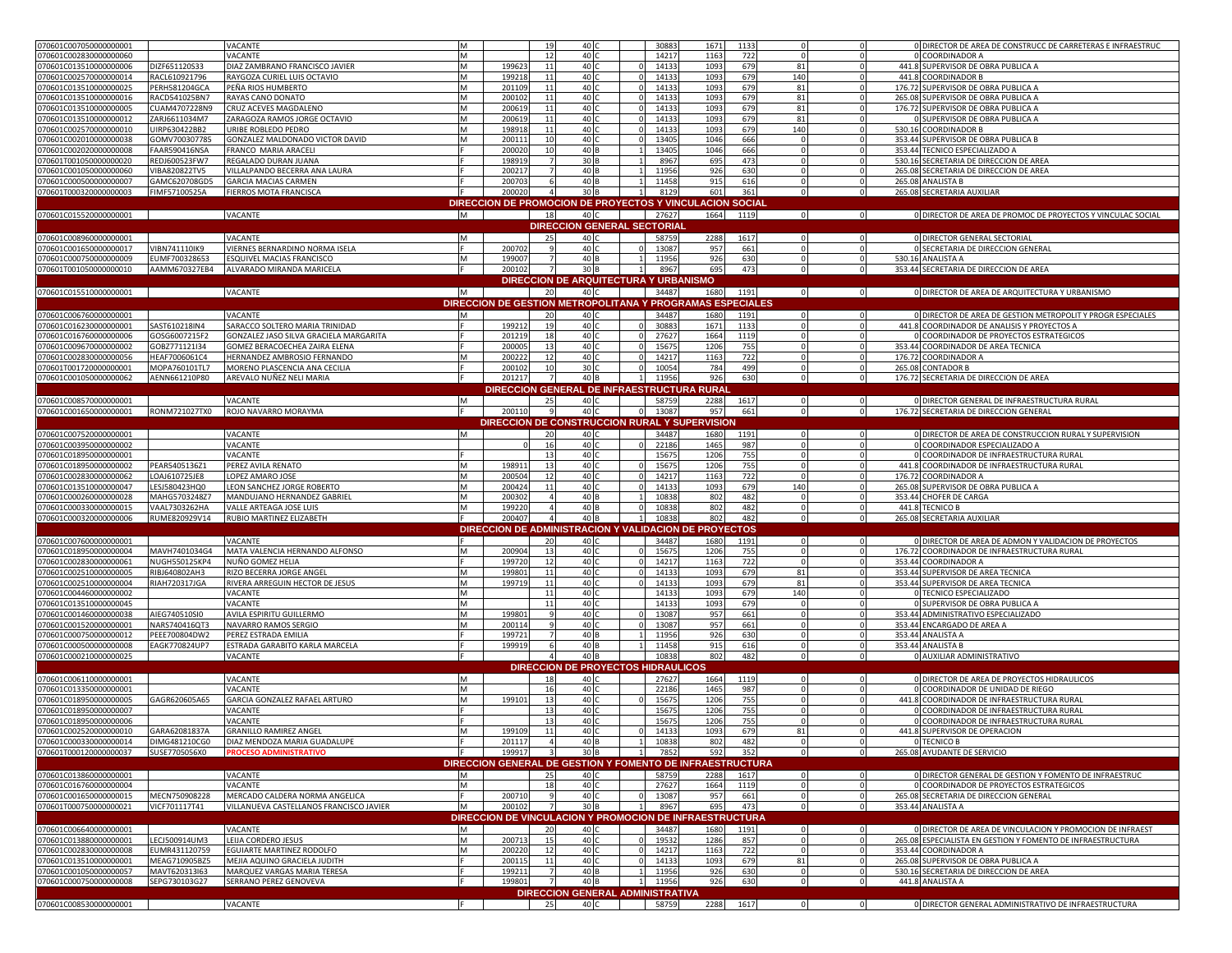| 070601C007050000000001                           |                                | VACANTE                                                       | M      | 19                                            | 40 C                                      | 30883                  | 1133<br>1671                                              | $\Omega$       | $\Omega$                 | 0 DIRECTOR DE AREA DE CONSTRUCC DE CARRETERAS E INFRAESTRUC |
|--------------------------------------------------|--------------------------------|---------------------------------------------------------------|--------|-----------------------------------------------|-------------------------------------------|------------------------|-----------------------------------------------------------|----------------|--------------------------|-------------------------------------------------------------|
| 070601C002830000000060                           |                                | VACANTE                                                       | M      | 12                                            | 40 0                                      | 1421                   | 1163<br>722                                               | $\Omega$       | $\mathbf{0}$             | 0 COORDINADOR A                                             |
| 070601C013510000000006                           | DIZF651120S33                  | DIAZ ZAMBRANO FRANCISCO JAVIER                                | M      | 199623<br>11                                  | 40                                        | 1413                   | 1093<br>679                                               | 81             | $\mathbf 0$              | 441.8 SUPERVISOR DE OBRA PUBLICA A                          |
| 070601C002570000000014                           | RACL610921796                  | RAYGOZA CURIEL LUIS OCTAVIO                                   | M      | 199218<br>11                                  | 40 0                                      | 1413                   | 1093<br>679                                               | 140            | 0                        | 441.8 COORDINADOR B                                         |
| 070601C013510000000025                           | PERH581204GCA                  | PEÑA RIOS HUMBERTO                                            | M      | 201109<br>11                                  | 40                                        | 14133                  | 1093<br>679                                               | 81             | $\mathbf{0}$             | 176.72 SUPERVISOR DE OBRA PUBLICA A                         |
| 070601C013510000000016                           | RACD541025BN7                  | RAYAS CANO DONATO                                             | M      | 200102<br>11                                  | 40 0                                      | 1413                   | 1093<br>679                                               | 81             | $\Omega$                 | 265.08 SUPERVISOR DE OBRA PUBLICA A                         |
| 070601C013510000000005                           | CUAM4707228N9                  | CRUZ ACEVES MAGDALENO                                         | M      | 200619                                        | 40 <sub>1</sub>                           | 1413                   | 1093<br>679                                               | 81             |                          | 176.72 SUPERVISOR DE OBRA PUBLICA A                         |
| 070601C013510000000012                           | ZARJ6611034M7                  | ZARAGOZA RAMOS JORGE OCTAVIO                                  | M      | 200619<br>11                                  | 40                                        | 1413                   | 1093<br>679                                               | 81             |                          | O SUPERVISOR DE OBRA PUBLICA A                              |
| 070601C002570000000010                           | UIRP630422BB2                  | URIBE ROBLEDO PEDRO                                           | M      | 198918<br>11                                  | 40 <sub>1</sub>                           | 1413                   | 679<br>1093                                               | 140            |                          | 530.16 COORDINADOR B                                        |
| 070601C002010000000038                           | GOMV700307785                  | GONZALEZ MALDONADO VICTOR DAVID                               | M      | 20011:<br>10                                  | 40                                        | 1340                   | 666<br>1046                                               |                | $\Omega$                 | 353.44 SUPERVISOR DE OBRA PUBLICA B                         |
| 070601C002020000000008                           | FAAR590416NSA                  | FRANCO MARIA ARACELI                                          |        | 200020                                        | 40 B                                      | 1340                   | 1046<br>666                                               |                |                          | 353.44 TECNICO ESPECIALIZADO A                              |
| 070601T001050000000020                           | REDJ600523FW7                  | REGALADO DURAN JUANA                                          |        | 198919                                        | 30 F                                      | 896                    | 473<br>695                                                |                | $\mathbf 0$              | 530.16 SECRETARIA DE DIRECCION DE AREA                      |
| 070601C001050000000060                           | VIBA820822TV5                  | VILLALPANDO BECERRA ANA LAURA                                 |        | 200217                                        | 40 F                                      | 11956                  | 926<br>630                                                |                | $\mathbf{0}$             | 265.08 SECRETARIA DE DIRECCION DE AREA                      |
| 070601C000500000000007                           | GAMC620708GD5                  | <b>GARCIA MACIAS CARMEN</b>                                   |        | 200703                                        | 40 F                                      | 11458                  | 915<br>616                                                |                |                          | 265.08 ANALISTA B                                           |
| 070601T000320000000003                           | FIMF57100525A                  | FIERROS MOTA FRANCISCA                                        |        | 200020                                        | 30 <sub>B</sub>                           | 8129                   | 361<br>601                                                | $\Omega$       | $\mathbf 0$              | 265.08 SECRETARIA AUXILIAR                                  |
|                                                  |                                |                                                               |        |                                               |                                           |                        | DIRECCION DE PROMOCION DE PROYECTOS Y VINCULACION SOCIAL  |                |                          |                                                             |
| 070601C015520000000001                           |                                | VACANTE                                                       | M      | 18                                            | 40 C                                      | 27627                  | 1664<br>1119                                              | $\overline{0}$ | $\circ$                  | 0 DIRECTOR DE AREA DE PROMOC DE PROYECTOS Y VINCULAC SOCIAL |
|                                                  |                                |                                                               |        |                                               | <b>DIRECCION GENERAL SECTORIAL</b>        |                        |                                                           |                |                          |                                                             |
| 070601C008960000000001                           |                                | VACANTE                                                       | M      | 25                                            | 40 C                                      | 58759                  | 2288<br>1617                                              | $\Omega$       | $\circ$                  | 0 DIRECTOR GENERAL SECTORIAL                                |
| 070601C001650000000017                           | VIBN741110IK9                  | VIERNES BERNARDINO NORMA ISELA                                |        | 200702                                        | 40                                        | 1308                   | 957<br>661                                                |                |                          | O SECRETARIA DE DIRECCION GENERAL                           |
| 070601C000750000000009                           | EUMF700328653                  | <b>ESQUIVEL MACIAS FRANCISCO</b>                              | M      | 199007                                        | 40 B                                      | 11956                  | 926<br>630                                                |                | $\mathbf{0}$             | 530.16 ANALISTA A                                           |
| 070601T001050000000010                           |                                | AAMM670327EB4 ALVARADO MIRANDA MARICELA                       |        | 200102                                        | 30 B                                      | 8967                   | 695<br>473                                                | $\Omega$       | $\circ$                  | 353.44 SECRETARIA DE DIRECCION DE AREA                      |
|                                                  |                                |                                                               |        |                                               | DIRECCION DE ARQUITECTURA Y URBANISMO     |                        |                                                           |                |                          |                                                             |
| 070601C015510000000001                           |                                | VACANTE                                                       | M      | 20                                            | 40 C                                      | 34487                  | 1191<br>1680                                              | $\circ$        | $\circ$                  | 0 DIRECTOR DE AREA DE ARQUITECTURA Y URBANISMO              |
|                                                  |                                |                                                               |        |                                               |                                           |                        | DIRECCION DE GESTION METROPOLITANA Y PROGRAMAS ESPECIALES |                |                          |                                                             |
| 070601C006760000000001                           |                                | VACANTE                                                       | M      | 20                                            | 40 C                                      | 34487                  | 1680<br>1191                                              | $\Omega$       | $\circ$                  | 0 DIRECTOR DE AREA DE GESTION METROPOLIT Y PROGR ESPECIALES |
| 070601C016230000000001                           | SAST610218IN4                  | SARACCO SOLTERO MARIA TRINIDAD                                |        | 199212<br>19                                  | 40 0                                      | 30883                  | 1671<br>1133                                              | $\Omega$       | $\circ$                  | 441.8 COORDINADOR DE ANALISIS Y PROYECTOS A                 |
| 070601C016760000000006                           | GOSG6007215F2                  | GONZALEZ JASO SILVA GRACIELA MARGARITA                        |        | 201219<br>18                                  | 40 C                                      | 2762                   | 1664<br>1119                                              | $\Omega$       | $\mathbf{0}$             | O COORDINADOR DE PROYECTOS ESTRATEGICOS                     |
| 070601C009670000000002                           | GOBZ771121I34                  | GOMEZ BERACOECHEA ZAIRA ELENA                                 |        | 200005<br>13                                  | 40                                        | 1567                   | 1206<br>755                                               |                | $\mathbf 0$              | 353.44 COORDINADOR DE AREA TECNICA                          |
| 070601C002830000000056                           | HEAF7006061C4                  | HERNANDEZ AMBROSIO FERNANDO                                   | M      | 200222<br>12                                  | 40 C                                      | 1421                   | 1163<br>722                                               |                | $\mathbf 0$              | 176.72 COORDINADOR A                                        |
| 070601T001720000000001                           | MOPA760101TL7                  | MORENO PLASCENCIA ANA CECILIA                                 |        | 200102<br>10                                  | 30 <sub>0</sub>                           | 10054                  | 784<br>499                                                | $\Omega$       | $\circ$                  | 265.08 CONTADOR B                                           |
| 070601C001050000000062                           | AENN661210P80                  | AREVALO NUÑEZ NELI MARIA                                      |        | 201217                                        | 40 B                                      | 11956<br>$1\mathsf{I}$ | 926<br>630                                                | $\circ$        | $\circ$                  | 176.72 SECRETARIA DE DIRECCION DE AREA                      |
|                                                  |                                |                                                               |        | DIRECCION GENERAL DE INFRAESTRUCTURA RURAL    |                                           |                        |                                                           |                |                          |                                                             |
| 070601C008570000000001                           |                                | VACANTE                                                       | M      | 25                                            | 40 C                                      | 58759                  | 2288<br>1617                                              | $\Omega$       | $\circ$                  | 0 DIRECTOR GENERAL DE INFRAESTRUCTURA RURAL                 |
| 070601C001650000000001                           | RONM721027TX0                  | ROJO NAVARRO MORAYMA                                          |        | 200110                                        | 40 C                                      | 13087                  | 957<br>661                                                | $\Omega$       | $\circ$                  | 176.72 SECRETARIA DE DIRECCION GENERAL                      |
|                                                  |                                |                                                               |        | DIRECCION DE CONSTRUCCION RURAL Y SUPERVISION |                                           |                        |                                                           |                |                          |                                                             |
| 070601C007520000000001                           |                                | VACANTE                                                       | M      | 20                                            | 40 C                                      | 34487                  | 1680<br>1191                                              | $\Omega$       | $\circ$                  | O DIRECTOR DE AREA DE CONSTRUCCION RURAL Y SUPERVISION      |
| 070601C003950000000002                           |                                | VACANTE                                                       |        |                                               | 40                                        | 2218                   | 987<br>1465                                               |                |                          | 0 COORDINADOR ESPECIALIZADO A                               |
| 070601C018950000000001                           |                                | VACANTE                                                       |        | 13                                            | 40 C                                      | 1567                   | 755<br>1206                                               | $\Omega$       | $\circ$                  | 0 COORDINADOR DE INFRAESTRUCTURA RURAL                      |
| 070601C018950000000002                           | PEAR5405136Z1                  | PEREZ AVILA RENATO                                            | M      |                                               |                                           |                        |                                                           |                |                          |                                                             |
|                                                  |                                |                                                               |        | 198911<br>13                                  | 40 0                                      | 1567                   | 1206<br>755                                               |                | $\mathbf 0$              | 441.8 COORDINADOR DE INFRAESTRUCTURA RURAL                  |
| 070601C002830000000062                           | LOAJ610725JE8                  | LOPEZ AMARO JOSE                                              | M      | 200504<br>12                                  | 40 C                                      | 1421                   | 722<br>1163                                               | $\Omega$       | $\mathbf{0}$             | 176.72 COORDINADOR A                                        |
| 070601C013510000000047                           | LESJ580423HQ0                  | LEON SANCHEZ JORGE ROBERTO                                    | M      | 200424<br>11                                  | 40                                        | 1413                   | 1093<br>679                                               | 140            | $\mathbf{0}$             | 265.08 SUPERVISOR DE OBRA PUBLICA A                         |
| 070601C000260000000028                           | MAHG5703248Z7                  | MANDUJANO HERNANDEZ GABRIEL                                   | M      | 200302                                        | 40 B                                      | 10838                  | 802<br>482                                                | $\Omega$       | $\circ$                  | 353.44 CHOFER DE CARGA                                      |
| 070601C000330000000015                           | VAAL7303262HA                  | VALLE ARTEAGA JOSE LUIS                                       | M      | 199220                                        | 40 B                                      | 10838                  | 802<br>482                                                | $\Omega$       | $\circ$                  | 441.8 TECNICO B                                             |
| 070601C000320000000006                           | RUME820929V14                  | RUBIO MARTINEZ ELIZABETH                                      |        | 200407                                        | 40 B                                      | 10838<br>$\mathbf{1}$  | 802<br>482                                                | $\Omega$       | $\circ$                  | 265.08 SECRETARIA AUXILIAR                                  |
|                                                  |                                |                                                               |        |                                               |                                           |                        | DIRECCION DE ADMINISTRACION Y VALIDACION DE PROYECTOS     |                |                          |                                                             |
| 070601C007600000000001                           |                                | VACANTE                                                       |        | 20                                            | 40 C                                      | 34487                  | 1680<br>1191                                              |                | $\circ$                  | 0 DIRECTOR DE AREA DE ADMON Y VALIDACION DE PROYECTOS       |
| 070601C018950000000004                           | MAVH7401034G4                  | MATA VALENCIA HERNANDO ALFONSO                                | M      | 200904<br>13                                  | 40                                        | 1567                   | 1206<br>755                                               |                | $\Omega$                 | 176.72 COORDINADOR DE INFRAESTRUCTURA RURAI                 |
| 070601C002830000000061                           | NUGH550125KP4                  | NUÑO GOMEZ HELIA                                              |        | 199720<br>12                                  | 40                                        | 1421                   | 722<br>1163                                               |                |                          | 353.44 COORDINADOR A                                        |
| 070601C002510000000005                           | RIBJ640802AH3                  | RIZO BECERRA JORGE ANGEL                                      | M      | 199801<br>11                                  | 40 <sub>1</sub>                           | 1413                   | 1093<br>679                                               | 81             | $\mathbf{0}$             | 353.44 SUPERVISOR DE AREA TECNICA                           |
| 070601C002510000000004                           | RIAH720317JGA                  | RIVERA ARREGUIN HECTOR DE JESUS                               | M      | 199719<br>11                                  | 40                                        | 1413                   | 1093<br>679                                               | 81             |                          | 353.44 SUPERVISOR DE AREA TECNICA                           |
| 070601C004460000000002                           |                                | VACANTE                                                       | M      |                                               | 40                                        | 1413                   | 1093<br>679                                               | 140            |                          | 0 TECNICO ESPECIALIZADO                                     |
| 070601C013510000000045                           |                                | VACANTE                                                       | M      |                                               | 40                                        | 1413                   | 679<br>1093                                               |                |                          | O SUPERVISOR DE OBRA PUBLICA A                              |
| 070601C001460000000038                           | AIEG740510SI0                  | AVILA ESPIRITU GUILLERMO                                      | M      | 199801                                        | 40                                        | 1308                   | 957<br>661                                                |                |                          | 353.44 ADMINISTRATIVO ESPECIALIZADO                         |
| 070601C001520000000001                           | NARS740416QT3                  | NAVARRO RAMOS SERGIO                                          | M      | 200114                                        | 40                                        | 13087                  | 957<br>661                                                |                | $\mathbf{0}$             | 353.44 ENCARGADO DE AREA A                                  |
| 070601C000750000000012                           | PEEE700804DW2                  | PEREZ ESTRADA EMILIA                                          |        | 199721                                        | 40 B                                      | 11956                  | 926<br>630                                                |                | $\circ$                  | 353.44 ANALISTA A                                           |
| 070601C000500000000008<br>070601C000210000000025 | EAGK770824UP7                  | ESTRADA GARABITO KARLA MARCELA<br>VACANTE                     |        | 199919                                        | 40 B<br>40 B                              | 11458<br>10838         | 915<br>616<br>802<br>482                                  |                | $\mathbf{0}$<br>$\circ$  | 353.44 ANALISTA B<br>0 AUXILIAR ADMINISTRATIVO              |
|                                                  |                                |                                                               |        |                                               |                                           |                        |                                                           |                |                          |                                                             |
|                                                  |                                |                                                               |        | 18                                            | <b>DIRECCION DE PROYECTOS HIDRAULICOS</b> |                        |                                                           |                | $\Omega$                 | O DIRECTOR DE AREA DE PROYECTOS HIDRAULICOS                 |
| 070601C006110000000001                           |                                | VACANTE                                                       |        | 1(                                            | 40                                        | 27627                  | 1664<br>1119                                              |                |                          |                                                             |
| 070601C013350000000001                           | GAGR620605A65                  | VACANTE                                                       | M<br>M | $-12$                                         | 40 <sub>1</sub>                           | 2218                   | 987<br>1465                                               |                | $\mathbf{0}$<br>$\Omega$ | 0 COORDINADOR DE UNIDAD DE RIEGO                            |
| 070601C018950000000005                           |                                | GARCIA GONZALEZ RAFAEL ARTURO                                 |        | 199101<br>13                                  | 40                                        | 1567                   | 1206<br>755                                               |                |                          | 441.8 COORDINADOR DE INFRAESTRUCTURA RURAL                  |
| 070601C018950000000007                           |                                | VACANTE                                                       |        | 13                                            | 40 <sub>1</sub>                           | 1567                   | 1206<br>755                                               |                |                          | 0 COORDINADOR DE INFRAESTRUCTURA RURAI                      |
| 070601C018950000000006                           |                                | VACANTE                                                       | M      | 11                                            | 40<br>40 0                                | 1567                   | 755<br>1206<br>1093                                       |                |                          | 0 COORDINADOR DE INFRAESTRUCTURA RURAL                      |
| 070601C002520000000010<br>070601C000330000000014 | GARA62081837A<br>DIMG481210CG0 | <b>GRANILLO RAMIREZ ANGEL</b><br>DIAZ MENDOZA MARIA GUADALUPE |        | 199109<br>201117                              | 40 B                                      | 14133<br>10838         | 679<br>482<br>802                                         | 81             | $^{\circ}$               | 441.8 SUPERVISOR DE OPERACION<br><b>0 TECNICO B</b>         |
| 070601T000120000000037                           | SUSE7705056X0                  | PROCESO ADMINISTRATIVO                                        |        | 199917                                        | 30 <sub>B</sub>                           | 7852                   | 592<br>352                                                |                | $\Omega$                 | 265.08 AYUDANTE DE SERVICIO                                 |
|                                                  |                                |                                                               |        |                                               |                                           |                        | DIRECCION GENERAL DE GESTION Y FOMENTO DE INFRAESTRUCTURA |                |                          |                                                             |
| 070601C013860000000001                           |                                | VACANTE                                                       | M      | 25                                            | 40 C                                      | 58759                  | 2288<br>1617                                              | $\Omega$       | $\circ$                  | O DIRECTOR GENERAL DE GESTION Y FOMENTO DE INFRAESTRUC      |
| 070601C016760000000004                           |                                | VACANTE                                                       | M      |                                               | 40                                        | 27627                  | 1664<br>1119                                              |                | $\mathbf{0}$             | O COORDINADOR DE PROYECTOS ESTRATEGICOS                     |
| 070601C001650000000015                           | MECN750908228                  | MERCADO CALDERA NORMA ANGELICA                                |        | 200710                                        | 40 C                                      | 13087                  | 957<br>661                                                | $\Omega$       | $\circ$                  | 265.08 SECRETARIA DE DIRECCION GENERAL                      |
| 070601T000750000000021                           | VICF701117T41                  | VILLANUEVA CASTELLANOS FRANCISCO JAVIER                       | M      | 200102                                        | 30 B                                      | 8967                   | 695<br>473                                                | $\Omega$       | $\circ$                  | 353.44 ANALISTA A                                           |
|                                                  |                                |                                                               |        |                                               |                                           |                        | DIRECCION DE VINCULACION Y PROMOCION DE INFRAESTRUCTURA   |                |                          |                                                             |
| 070601C006640000000001                           |                                | VACANTE                                                       | M      | 20                                            | 40                                        | 34487                  | 1680<br>1191                                              |                | $\Omega$                 | O DIRECTOR DE AREA DE VINCULACION Y PROMOCION DE INFRAEST   |
| 070601C013880000000001                           | LECJ500914UM3                  | LEIJA CORDERO JESUS                                           | M      | 200713<br>15                                  | 40                                        | 1953                   | 857<br>1286                                               |                | $\Omega$                 | 265.08 ESPECIALISTA EN GESTION Y FOMENTO DE INFRAESTRUCTURA |
| 070601C002830000000008                           | EUMR431120759                  | EGUIARTE MARTINEZ RODOLFO                                     | M      | 200220<br>12                                  | 40 0                                      | 1421                   | 1163<br>722                                               |                |                          | 353.44 COORDINADOR A                                        |
| 070601C013510000000001                           | MEAG710905BZ5                  | MEJIA AQUINO GRACIELA JUDITH                                  |        | 200115<br>11                                  | 40 0                                      | 1413                   | 679<br>1093                                               | 81             | $\mathbf{0}$             | 265.08 SUPERVISOR DE OBRA PUBLICA A                         |
| 070601C001050000000057                           | MAVT620313I63                  | MARQUEZ VARGAS MARIA TERESA                                   |        | 199211                                        | 40 B                                      | 11956                  | 630<br>926                                                |                | $\mathbf{0}$             | 530.16 SECRETARIA DE DIRECCION DE AREA                      |
| 070601C000750000000008                           | SEPG730103G27                  | SERRANO PEREZ GENOVEVA                                        |        | 199801                                        | 40 B                                      | 11956                  | 926<br>630                                                | - 0            | $\circ$                  | 441.8 ANALISTA A                                            |
| 070601C008530000000001                           |                                | VACANTE                                                       |        | 25                                            | DIRECCION GENERAL ADMINISTRATIVA<br>40 C  | 58759                  | 2288 1617                                                 |                | $\circ$                  | 0 DIRECTOR GENERAL ADMINISTRATIVO DE INFRAESTRUCTURA        |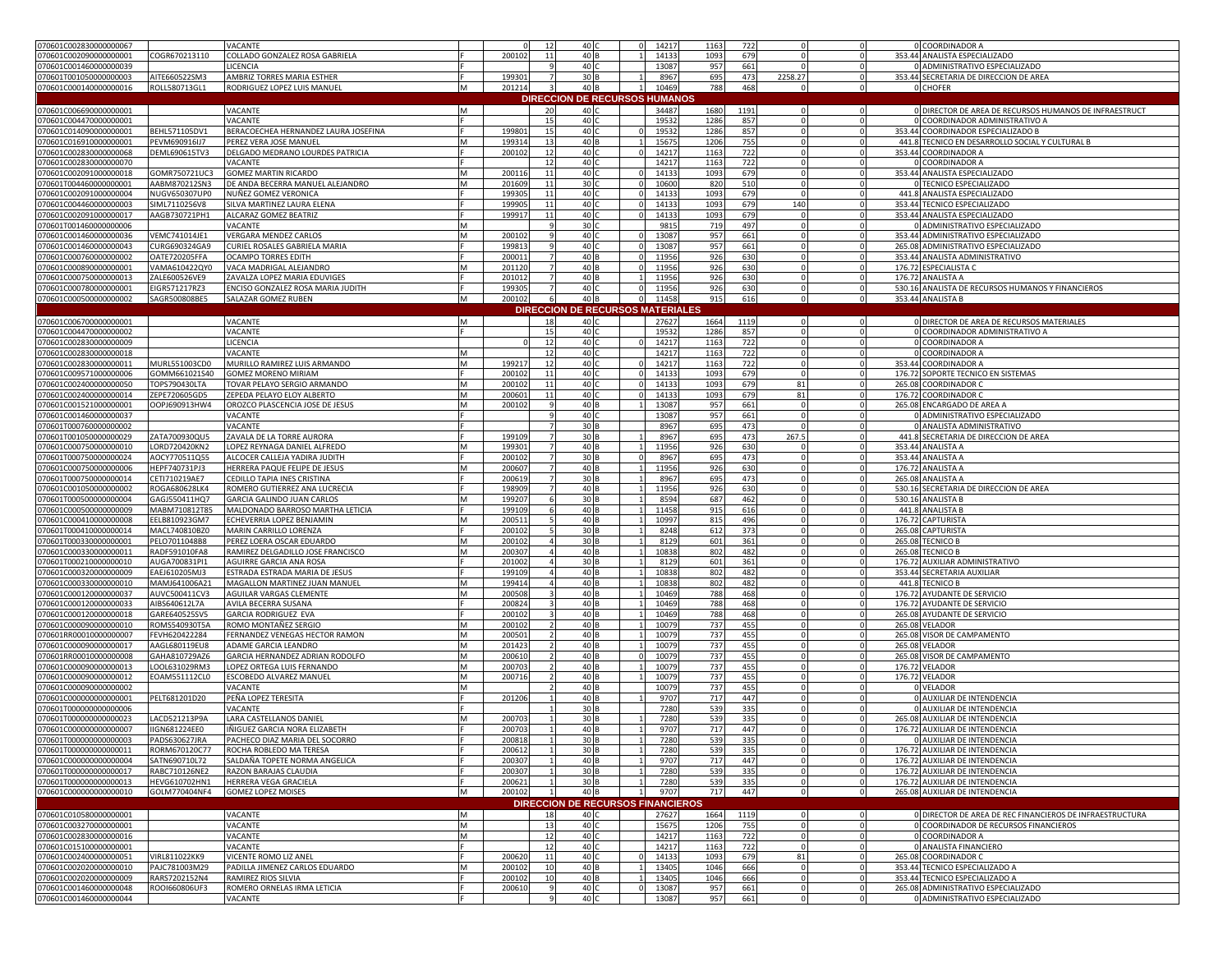| 070601C002830000000067  |                      | VACANTE                              |   | 12                        | 40 <sub>1</sub>                          |          | 14217 | 1163 | 722  |             | 0 COORDINADOR A                                                     |
|-------------------------|----------------------|--------------------------------------|---|---------------------------|------------------------------------------|----------|-------|------|------|-------------|---------------------------------------------------------------------|
| 070601C002090000000001  | COGR670213110        | COLLADO GONZALEZ ROSA GABRIELA       |   | 200102<br>$\mathbf{1}$    | 40 B                                     |          | 14133 | 1093 | 679  |             | $\mathbf 0$<br>353.44 ANALISTA ESPECIALIZADO                        |
| 070601C001460000000039  |                      | LICENCIA                             |   |                           | 40                                       |          | 13087 | 957  | 661  |             | 0 ADMINISTRATIVO ESPECIALIZADO<br>$\mathbf 0$                       |
| 070601T001050000000003  | AITE660522SM3        | AMBRIZ TORRES MARIA ESTHER           |   | 199301                    | 30 B                                     |          | 8967  | 695  | 473  | 2258.27     | $\circ$<br>353.44 SECRETARIA DE DIRECCION DE AREA                   |
| 070601C000140000000016  | ROLL580713GL1        | RODRIGUEZ LOPEZ LUIS MANUEL          | M | 201214                    | 40 B                                     |          | 10469 | 788  | 468  | $\Omega$    | $\mathbf{0}$<br>0 CHOFER                                            |
|                         |                      |                                      |   |                           |                                          |          |       |      |      |             |                                                                     |
|                         |                      |                                      |   |                           | <b>DIRECCION DE RECURSOS HUMANOS</b>     |          |       |      |      |             |                                                                     |
| 070601C006690000000001  |                      | VACANTE                              | M | 20                        | 40                                       |          | 34487 | 1680 | 1191 |             | O DIRECTOR DE AREA DE RECURSOS HUMANOS DE INFRAESTRUCT<br>$\Omega$  |
| 070601C004470000000001  |                      | VACANTE                              |   |                           | 40                                       |          | 1953  | 1286 | 857  |             | 0 COORDINADOR ADMINISTRATIVO A                                      |
| 070601C014090000000001  | BEHL571105DV1        | BERACOECHEA HERNANDEZ LAURA JOSEFINA |   | 199801<br>15              | 40                                       |          | 19532 | 1286 | 857  |             | 353.44 COORDINADOR ESPECIALIZADO B<br>$\mathbf 0$                   |
| 070601C016910000000001  | PEVM690916IJ7        | PEREZ VERA JOSE MANUEL               | M | 19931<br>13               | 40                                       |          | 1567  | 1206 | 755  |             | 441.8 TECNICO EN DESARROLLO SOCIAL Y CULTURAL B<br>$\Omega$         |
|                         | DEML690615TV3        | DELGADO MEDRANO LOURDES PATRICIA     |   | 20010<br>12               | 40                                       |          |       |      |      |             | 353.44 COORDINADOR A<br>$\Omega$                                    |
| 070601C002830000000068  |                      |                                      |   |                           |                                          |          | 1421  | 1163 | 722  |             |                                                                     |
| 070601C002830000000070  |                      | VACANTE                              |   | 12                        | 40                                       |          | 14217 | 1163 | 722  |             | 0 COORDINADOR A                                                     |
| 070601C002091000000018  | GOMR750721UC3        | <b>GOMEZ MARTIN RICARDO</b>          | M | 200116<br>$\mathbf{1}$    | 40                                       |          | 14133 | 1093 | 679  |             | 353.44 ANALISTA ESPECIALIZADO<br>$\mathbf 0$                        |
| 070601T004460000000001  | AABM870212SN3        | DE ANDA BECERRA MANUEL ALEJANDRO     | M | 201609<br>$\mathbf{1}$    | 30 <sub>1</sub>                          |          | 10600 | 820  | 510  |             | 0 TECNICO ESPECIALIZADO<br>$\Omega$                                 |
| 070601C002091000000004  | NUGV650307UP0        | NUÑEZ GOMEZ VERONICA                 |   | 199305<br>11              | 40                                       |          | 14133 | 1093 | 679  |             | 441.8 ANALISTA ESPECIALIZADO<br>$\Omega$                            |
| 070601C004460000000003  | SIML7110256V8        | SILVA MARTINEZ LAURA ELENA           |   | 19990                     | 40                                       |          | 1413  | 1093 | 679  | 140         | 353.44 TECNICO ESPECIALIZADO                                        |
| 070601C002091000000017  | AAGB730721PH1        | ALCARAZ GOMEZ BEATRIZ                |   | 199917<br>11              | 40                                       |          | 14133 | 1093 | 679  |             | $\mathbf 0$<br>353.44 ANALISTA ESPECIALIZADO                        |
|                         |                      |                                      | M |                           | 30 <sub>1</sub>                          |          |       | 719  | 497  |             | 0 ADMINISTRATIVO ESPECIALIZADO<br>$\Omega$                          |
| 070601T001460000000006  |                      | VACANTE                              |   |                           |                                          |          | 9815  |      |      |             |                                                                     |
| 070601C001460000000036  | VEMC741014JE1        | VERGARA MENDEZ CARLOS                | M | 200102                    | 40 0                                     |          | 13087 | 957  | 661  | $\Omega$    | 353.44 ADMINISTRATIVO ESPECIALIZADO<br>$\circ$                      |
| 070601C001460000000043  | CURG690324GA9        | CURIEL ROSALES GABRIELA MARIA        |   | 199813                    | 40                                       |          | 13087 | 957  | 661  |             | 265.08 ADMINISTRATIVO ESPECIALIZADO<br>$\mathbf 0$                  |
| 070601C000760000000002  | OATE720205FFA        | OCAMPO TORRES EDITH                  |   | 200011                    | 40 B                                     |          | 11956 | 926  | 630  |             | $\circ$<br>353.44 ANALISTA ADMINISTRATIVO                           |
| 070601C000890000000001  | VAMA610422QY0        | VACA MADRIGAL ALEJANDRO              | M | 201120                    | 40                                       |          | 11956 | 926  | 630  |             | 176.72 ESPECIALISTA C<br>$\mathbf 0$                                |
| 070601C000750000000013  | ZALE600526VE9        | ZAVALZA LOPEZ MARIA EDUVIGES         |   | 201012                    | 40                                       |          | 11956 | 926  | 630  | $\Omega$    | 176.72 ANALISTA A<br>$\Omega$                                       |
| 070601C000780000000001  | EIGR571217RZ3        | ENCISO GONZALEZ ROSA MARIA JUDITH    |   | 199305                    | 40                                       |          | 11956 | 926  | 630  |             | $\mathbf 0$<br>530.16 ANALISTA DE RECURSOS HUMANOS Y FINANCIEROS    |
|                         |                      |                                      |   |                           |                                          | $\Omega$ |       | 915  |      | $\mathbf 0$ |                                                                     |
| 070601C000500000000002  | SAGR500808BE5        | SALAZAR GOMEZ RUBEN                  | M | 200102                    | 40 <sub>B</sub>                          |          | 11458 |      | 616  |             | $\circ$<br>353.44 ANALISTA B                                        |
|                         |                      |                                      |   |                           | <b>DIRECCION DE RECURSOS MATERIALES</b>  |          |       |      |      |             |                                                                     |
| 070601C006700000000001  |                      | VACANTE                              | M | 18                        | 40                                       |          | 27627 | 1664 | 1119 |             | O DIRECTOR DE AREA DE RECURSOS MATERIALES                           |
| 070601C004470000000002  |                      | VACANTE                              |   | 15                        | 40                                       |          | 19532 | 1286 | 857  |             | $\mathbf 0$<br>0 COORDINADOR ADMINISTRATIVO A                       |
| 070601C002830000000009  |                      | LICENCIA                             |   | $\overline{1}$            | 40                                       |          | 14217 | 1163 | 722  |             | 0 COORDINADOR A<br>$\Omega$                                         |
| 070601C002830000000018  |                      | VACANTE                              | M | -12                       | 40                                       |          | 14217 | 1163 | 722  |             | 0 COORDINADOR A                                                     |
|                         |                      |                                      |   |                           |                                          |          |       |      |      |             |                                                                     |
| 070601C002830000000011  | MURL551003CD0        | MURILLO RAMIREZ LUIS ARMANDO         | M | 19921<br>12               | 40                                       |          | 14217 | 1163 | 722  |             | 353.44 COORDINADOR A                                                |
| 070601C009571000000006  | GOMM661021S40        | <b>GOMEZ MORENO MIRIAM</b>           |   | 200102<br>$\mathbf{1}$    | 40                                       |          | 14133 | 1093 | 679  |             | 176.72 SOPORTE TECNICO EN SISTEMAS                                  |
| 070601C002400000000050  | TOPS790430LTA        | TOVAR PELAYO SERGIO ARMANDO          | M | 200102<br>11              | 40                                       |          | 14133 | 1093 | 679  | 81          | $\Omega$<br>265.08 COORDINADOR C                                    |
| 070601C002400000000014  | ZEPE720605GD5        | ZEPEDA PELAYO ELOY ALBERTC           | M | 20060<br>$\mathbf{1}$     | 40                                       |          | 1413  | 1093 | 679  | 81          | $\Omega$<br>176.72 COORDINADOR O                                    |
| 070601C001521000000001  | OOPJ690913HW4        | OROZCO PLASCENCIA JOSE DE JESUS      | M | 200102                    | 40                                       |          | 13087 | 957  | 661  |             | $\Omega$<br>265.08 ENCARGADO DE AREA A                              |
| 070601C001460000000037  |                      | VACANTE                              |   |                           | 40                                       |          | 13087 |      | 661  |             | $\mathbf 0$<br>0 ADMINISTRATIVO ESPECIALIZADO                       |
|                         |                      |                                      |   |                           |                                          |          |       | 957  |      |             |                                                                     |
| 070601T000760000000002  |                      | VACANTE                              |   |                           | 30 F                                     |          | 8967  | 695  | 473  |             | $\Omega$<br>0 ANALISTA ADMINISTRATIVO                               |
| 070601T001050000000029  | ZATA700930QU5        | ZAVALA DE LA TORRE AURORA            |   | 199109                    | 30 B                                     |          | 8967  | 695  | 473  | 267.5       | 441.8 SECRETARIA DE DIRECCION DE AREA<br>$\Omega$                   |
| 070601C000750000000010  | LORD720420KN2        | LOPEZ REYNAGA DANIEL ALFREDO         | M | 19930                     | 40                                       |          | 11956 | 926  | 630  |             | 353.44 ANALISTA A                                                   |
| 070601T000750000000024  | AOCY770511Q55        | ALCOCER CALLEJA YADIRA JUDITH        |   | 200102                    | 30 B                                     |          | 8967  | 695  | 473  |             | $\mathbf 0$<br>353.44 ANALISTA A                                    |
| 070601C000750000000006  | HEPF740731PJ3        | HERRERA PAQUE FELIPE DE JESUS        | M | 200607                    | 40                                       |          | 11956 | 926  | 630  |             | 176.72 ANALISTA A<br>$\mathbf 0$                                    |
| 070601T000750000000014  | CETI710219AE7        | CEDILLO TAPIA INES CRISTINA          |   | 200619                    | 30 <sub>1</sub>                          |          | 8967  | 695  | 473  |             | 265.08 ANALISTA A<br>$^{\circ}$                                     |
|                         | ROGA680628LK4        |                                      |   | 198909                    |                                          |          |       |      |      |             | $\mathbf 0$                                                         |
| 070601C001050000000002  |                      | ROMERO GUTIERREZ ANA LUCRECIA        |   |                           | 40                                       |          | 11956 | 926  | 630  |             | 530.16 SECRETARIA DE DIRECCION DE AREA                              |
| 070601T000500000000004  | GAGJ550411HQ7        | <b>GARCIA GALINDO JUAN CARLOS</b>    | M | 199207                    | 30 B                                     |          | 8594  | 687  | 462  |             | $\mathbf 0$<br>530.16 ANALISTA B                                    |
| 070601C000500000000009  | MABM710812T85        | MALDONADO BARROSO MARTHA LETICIA     |   | 199109                    | 40                                       |          | 11458 | 915  | 616  |             | 441.8 ANALISTA B<br>$\mathbf 0$                                     |
| 070601C000410000000008  | EELB810923GM7        | ECHEVERRIA LOPEZ BENJAMIN            | M | 20051                     | 40                                       |          | 10997 | 815  | 496  |             | $\Omega$<br>176.72 CAPTURISTA                                       |
| 070601T000410000000014  | MACL740810BZ0        | MARIN CARRILLO LORENZA               |   | 200102                    | 30 <sub>1</sub>                          |          | 8248  | 612  | 373  |             | 265.08 CAPTURISTA                                                   |
| 070601T000330000000001  | PELO7011048B8        | PEREZ LOERA OSCAR EDUARDO            | M | 200102                    | 30 <sub>1</sub>                          |          | 8129  | 601  | 361  |             | $\mathbf 0$<br>265.08 TECNICO B                                     |
|                         |                      |                                      | M | 200307                    | 40                                       |          |       |      |      |             | $\mathbf 0$                                                         |
| 070601C000330000000011  | RADF591010FA8        | RAMIREZ DELGADILLO JOSE FRANCISCO    |   |                           |                                          |          | 10838 | 802  | 482  |             | 265.08 TECNICO B                                                    |
| 070601T000210000000010  | AUGA700831PI1        | AGUIRRE GARCIA ANA ROSA              |   | 201002                    | 30 <sub>1</sub>                          |          | 8129  | 601  | 361  |             | $\Omega$<br>176.72 AUXILIAR ADMINISTRATIVO                          |
| 070601C000320000000009  | EAEJ610205MJ3        | ESTRADA ESTRADA MARIA DE JESUS       |   | 199109                    | 40                                       |          | 1083  | 802  | 482  |             | 353.44 SECRETARIA AUXILIAR<br>$\Omega$                              |
| 070601C000330000000010  | MAMJ641006A21        | MAGALLON MARTINEZ JUAN MANUEL        | M | 199414                    | 40                                       |          | 1083  | 802  | 482  |             | 441.8 TECNICO B<br>$\mathbf 0$                                      |
| 070601C000120000000037  | AUVC500411CV3        | AGUILAR VARGAS CLEMENTE              | M | 200508                    | 40                                       |          | 10469 | 788  | 468  |             | 176.72 AYUDANTE DE SERVICIO<br>$\mathbf 0$                          |
| 070601C000120000000033  | AIBS640612L7A        | AVILA BECERRA SUSANA                 |   | 200824                    | 40                                       |          | 10469 | 788  | 468  |             | 176.72 AYUDANTE DE SERVICIO                                         |
| 070601C000120000000018  | GARE640525SV5        | GARCIA RODRIGUEZ EVA                 |   | 200102                    | 40                                       |          | 10469 | 788  | 468  |             | 265.08 AYUDANTE DE SERVICIO                                         |
|                         | ROMS540930T5A        |                                      | M |                           | 40                                       |          |       |      |      |             | $\mathbf 0$                                                         |
| 070601C000090000000010  |                      | ROMO MONTAÑEZ SERGIO                 |   | 200102                    |                                          |          | 1007  | 737  | 455  |             | 265.08 VELADOR                                                      |
| 070601RR00010000000007  | FEVH620422284        | FERNANDEZ VENEGAS HECTOR RAMON       | M | 200501                    | 40                                       |          | 10079 | 737  | 455  |             | 265.08 VISOR DE CAMPAMENTO                                          |
| 070601C000090000000017  | AAGL680119EU8        | ADAME GARCIA LEANDRO                 | M | 201423                    | 40                                       |          | 10079 | 737  | 455  |             | $\mathbf 0$<br>265.08 VELADOR                                       |
| 070601RR00010000000008  | GAHA810729AZ6        | GARCIA HERNANDEZ ADRIAN RODOLFO      | M | 200610                    | 40                                       |          | 1007  | 737  | 455  |             | 265.08 VISOR DE CAMPAMENTO<br>$\Omega$                              |
| 070601C000090000000013  | LOOL631029RM3        | LOPEZ ORTEGA LUIS FERNANDO           | M | 200703                    | 40                                       |          | 1007  | 737  | 455  |             | 176.72 VELADOR                                                      |
| 070601C000090000000012  | EOAM551112CL0        | ESCOBEDO ALVAREZ MANUEL              | M | 200716                    | 40                                       |          | 10079 | 737  | 455  |             | 176.72 VELADOR<br>$\Omega$                                          |
| 070601C000090000000002  |                      | VACANTE                              | M |                           | 40 F                                     |          | 10079 | 737  | 455  |             | 0 VELADOR<br>$\Omega$                                               |
| 070601C000000000000001  | PELT681201D20        | PEÑA LOPEZ TERESITA                  |   | 201206                    | 40 F                                     |          | 9707  | 717  | 447  |             | O AUXILIAR DE INTENDENCIA                                           |
|                         |                      |                                      |   |                           |                                          |          |       |      |      |             |                                                                     |
| 070601T000000000000006  |                      | VACANTE                              |   |                           | 30 <sub>1</sub>                          |          | 7280  | 539  | 335  |             | <b>0 AUXILIAR DE INTENDENCIA</b>                                    |
| 070601T000000000000023  | LACD521213P9A        | LARA CASTELLANOS DANIEL              | M | 200703                    | 30 <sub>1</sub>                          |          | 7280  | 539  | 335  |             | 265.08 AUXILIAR DE INTENDENCIA<br>$\Omega$                          |
| 070601C000000000000007  | IIGN681224EE0        | IÑIGUEZ GARCIA NORA ELIZABETH        |   | 200703                    | 40 B                                     |          | 9707  | 717  | 447  |             | 176.72 AUXILIAR DE INTENDENCIA<br>$\mathbf 0$                       |
| 070601T000000000000003  | PADS630627JRA        | PACHECO DIAZ MARIA DEL SOCORRO       |   | 200818                    | 30 <sup>1</sup>                          |          | 7280  | 539  | 335  |             | 0 AUXILIAR DE INTENDENCIA                                           |
| 070601T000000000000011  | RORM670120C77        | ROCHA ROBLEDO MA TERESA              |   | 200612                    | 30 <sub>B</sub>                          |          | 7280  | 539  | 335  |             | 176.72 AUXILIAR DE INTENDENCIA                                      |
| 070601C000000000000004  | SATN690710L72        | SALDAÑA TOPETE NORMA ANGELICA        |   | 200307                    | 40 B                                     |          | 9707  | 717  | 447  |             | $\mathbf 0$<br>176.72 AUXILIAR DE INTENDENCIA                       |
| 070601T000000000000017  | RABC710126NE2        | RAZON BARAJAS CLAUDIA                |   | 200307                    | 30 B                                     |          | 7280  | 539  | 335  |             | 176.72 AUXILIAR DE INTENDENCIA<br>$\mathbf 0$                       |
|                         |                      |                                      |   |                           |                                          |          |       |      |      |             |                                                                     |
| 070601T000000000000013  | HEVG610702HN1        | HERRERA VEGA GRACIELA                |   | 200621                    | 30 B                                     |          | 7280  | 539  | 335  |             | 176.72 AUXILIAR DE INTENDENCIA<br>$\Omega$                          |
| 070601C000000000000010  | GOLM770404NF4        | <b>GOMEZ LOPEZ MOISES</b>            | M | 200102                    | 40 B                                     |          | 9707  | 717  | 447  |             | 265.08 AUXILIAR DE INTENDENCIA                                      |
|                         |                      |                                      |   |                           | <b>DIRECCION DE RECURSOS FINANCIEROS</b> |          |       |      |      |             |                                                                     |
| 070601C010580000000001  |                      | VACANTE                              | M | 18                        | 40 C                                     |          | 27627 | 1664 | 1119 | $\Omega$    | O DIRECTOR DE AREA DE REC FINANCIEROS DE INFRAESTRUCTURA<br>$\circ$ |
| 070601C003270000000001  |                      | VACANTE                              | M | 13                        | 40                                       |          | 15675 | 1206 | 755  |             | O COORDINADOR DE RECURSOS FINANCIEROS                               |
| 070601C002830000000016  |                      | VACANTE                              | M | 12                        | 40                                       |          | 14217 | 1163 | 722  |             | 0 COORDINADOR A                                                     |
|                         |                      |                                      |   |                           |                                          |          |       |      |      |             |                                                                     |
| 070601C015100000000001  |                      | VACANTE                              |   | 12                        | 40 0                                     |          | 14217 | 1163 | 722  |             | 0 ANALISTA FINANCIERO<br>$\Omega$                                   |
| 070601C002400000000051  | <b>VIRL811022KK9</b> | VICENTE ROMO LIZ ANEL                |   | 200620<br>11              | 40 C                                     |          | 14133 | 1093 | 679  | 81          | 265.08 COORDINADOR C                                                |
| 070601C0020200000000010 | PAJC781003M29        | PADILLA JIMENEZ CARLOS EDUARDO       | M | 200102<br>$\overline{10}$ | 40                                       |          | 13405 | 1046 | 666  |             | 353.44 TECNICO ESPECIALIZADO A                                      |
| 070601C002020000000009  | RARS7202152N4        | RAMIREZ RIOS SILVIA                  |   | 200102<br>10              | 40 B                                     |          | 13405 | 1046 | 666  |             | 353.44 TECNICO ESPECIALIZADO A<br>$\circ$                           |
| 070601C001460000000048  | ROOI660806UF3        | ROMERO ORNELAS IRMA LETICIA          |   | 200610                    | 40 C                                     |          | 13087 | 957  | 661  |             | 265.08 ADMINISTRATIVO ESPECIALIZADO<br>$\overline{\mathbf{0}}$      |
|                         |                      | VACANTE                              |   |                           | 40 C                                     |          | 13087 | 957  | 661  | $\mathbf 0$ | 0 ADMINISTRATIVO ESPECIALIZADO<br>$\circ$                           |
| 070601C001460000000044  |                      |                                      |   |                           |                                          |          |       |      |      |             |                                                                     |